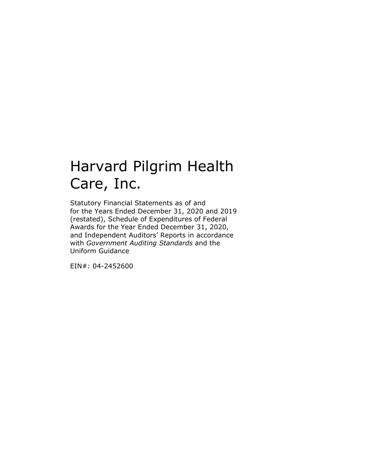# Harvard Pilgrim Health Care, Inc.

Statutory Financial Statements as of and for the Years Ended December 31, 2020 and 2019 (restated), Schedule of Expenditures of Federal Awards for the Year Ended December 31, 2020, and Independent Auditors' Reports in accordance with *Government Auditing Standards* and the Uniform Guidance

EIN#: 04-2452600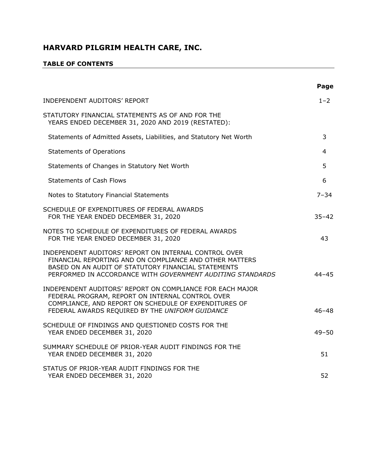### **TABLE OF CONTENTS**

|                                                                                                                                                                                                                                       | Page                     |
|---------------------------------------------------------------------------------------------------------------------------------------------------------------------------------------------------------------------------------------|--------------------------|
| INDEPENDENT AUDITORS' REPORT                                                                                                                                                                                                          | $1 - 2$                  |
| STATUTORY FINANCIAL STATEMENTS AS OF AND FOR THE<br>YEARS ENDED DECEMBER 31, 2020 AND 2019 (RESTATED):                                                                                                                                |                          |
| Statements of Admitted Assets, Liabilities, and Statutory Net Worth                                                                                                                                                                   | 3                        |
| <b>Statements of Operations</b>                                                                                                                                                                                                       | $\overline{\mathcal{L}}$ |
| Statements of Changes in Statutory Net Worth                                                                                                                                                                                          | 5                        |
| <b>Statements of Cash Flows</b>                                                                                                                                                                                                       | 6                        |
| Notes to Statutory Financial Statements                                                                                                                                                                                               | $7 - 34$                 |
| SCHEDULE OF EXPENDITURES OF FEDERAL AWARDS<br>FOR THE YEAR ENDED DECEMBER 31, 2020                                                                                                                                                    | $35 - 42$                |
| NOTES TO SCHEDULE OF EXPENDITURES OF FEDERAL AWARDS<br>FOR THE YEAR ENDED DECEMBER 31, 2020                                                                                                                                           | 43                       |
| INDEPENDENT AUDITORS' REPORT ON INTERNAL CONTROL OVER<br>FINANCIAL REPORTING AND ON COMPLIANCE AND OTHER MATTERS<br>BASED ON AN AUDIT OF STATUTORY FINANCIAL STATEMENTS<br>PERFORMED IN ACCORDANCE WITH GOVERNMENT AUDITING STANDARDS | $44 - 45$                |
| INDEPENDENT AUDITORS' REPORT ON COMPLIANCE FOR EACH MAJOR<br>FEDERAL PROGRAM, REPORT ON INTERNAL CONTROL OVER<br>COMPLIANCE, AND REPORT ON SCHEDULE OF EXPENDITURES OF<br>FEDERAL AWARDS REQUIRED BY THE UNIFORM GUIDANCE             | $46 - 48$                |
| SCHEDULE OF FINDINGS AND QUESTIONED COSTS FOR THE<br>YEAR ENDED DECEMBER 31, 2020                                                                                                                                                     | $49 - 50$                |
| SUMMARY SCHEDULE OF PRIOR-YEAR AUDIT FINDINGS FOR THE<br>YEAR ENDED DECEMBER 31, 2020                                                                                                                                                 | 51                       |
| STATUS OF PRIOR-YEAR AUDIT FINDINGS FOR THE<br>YEAR ENDED DECEMBER 31, 2020                                                                                                                                                           | 52                       |

<u> 1989 - Johann Stoff, deutscher Stoffen und der Stoffen und der Stoffen und der Stoffen und der Stoffen und der</u>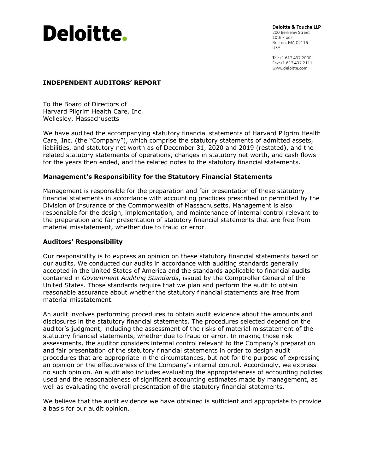

Deloitte & Touche LLP 200 Berkeley Street 10th Floor Boston, MA 02116 **USA** 

Tel: +1 617 437 2000 Fax: +1 617 437 2111 www.deloitte.com

### **INDEPENDENT AUDITORS' REPORT**

To the Board of Directors of Harvard Pilgrim Health Care, Inc. Wellesley, Massachusetts

We have audited the accompanying statutory financial statements of Harvard Pilgrim Health Care, Inc. (the "Company"), which comprise the statutory statements of admitted assets, liabilities, and statutory net worth as of December 31, 2020 and 2019 (restated), and the related statutory statements of operations, changes in statutory net worth, and cash flows for the years then ended, and the related notes to the statutory financial statements.

#### **Management's Responsibility for the Statutory Financial Statements**

Management is responsible for the preparation and fair presentation of these statutory financial statements in accordance with accounting practices prescribed or permitted by the Division of Insurance of the Commonwealth of Massachusetts. Management is also responsible for the design, implementation, and maintenance of internal control relevant to the preparation and fair presentation of statutory financial statements that are free from material misstatement, whether due to fraud or error.

#### **Auditors' Responsibility**

Our responsibility is to express an opinion on these statutory financial statements based on our audits. We conducted our audits in accordance with auditing standards generally accepted in the United States of America and the standards applicable to financial audits contained in *Government Auditing Standards*, issued by the Comptroller General of the United States. Those standards require that we plan and perform the audit to obtain reasonable assurance about whether the statutory financial statements are free from material misstatement.

An audit involves performing procedures to obtain audit evidence about the amounts and disclosures in the statutory financial statements. The procedures selected depend on the auditor's judgment, including the assessment of the risks of material misstatement of the statutory financial statements, whether due to fraud or error. In making those risk assessments, the auditor considers internal control relevant to the Company's preparation and fair presentation of the statutory financial statements in order to design audit procedures that are appropriate in the circumstances, but not for the purpose of expressing an opinion on the effectiveness of the Company's internal control. Accordingly, we express no such opinion. An audit also includes evaluating the appropriateness of accounting policies used and the reasonableness of significant accounting estimates made by management, as well as evaluating the overall presentation of the statutory financial statements.

We believe that the audit evidence we have obtained is sufficient and appropriate to provide a basis for our audit opinion.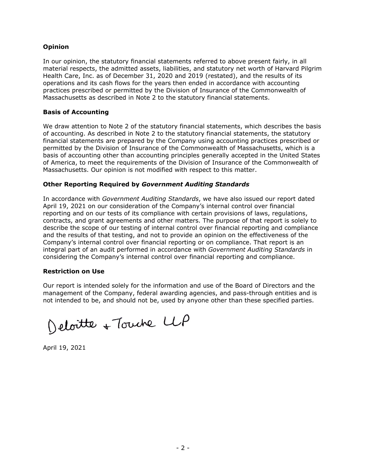### **Opinion**

In our opinion, the statutory financial statements referred to above present fairly, in all material respects, the admitted assets, liabilities, and statutory net worth of Harvard Pilgrim Health Care, Inc. as of December 31, 2020 and 2019 (restated), and the results of its operations and its cash flows for the years then ended in accordance with accounting practices prescribed or permitted by the Division of Insurance of the Commonwealth of Massachusetts as described in Note 2 to the statutory financial statements.

### **Basis of Accounting**

We draw attention to Note 2 of the statutory financial statements, which describes the basis of accounting. As described in Note 2 to the statutory financial statements, the statutory financial statements are prepared by the Company using accounting practices prescribed or permitted by the Division of Insurance of the Commonwealth of Massachusetts, which is a basis of accounting other than accounting principles generally accepted in the United States of America, to meet the requirements of the Division of Insurance of the Commonwealth of Massachusetts. Our opinion is not modified with respect to this matter.

### **Other Reporting Required by** *Government Auditing Standards*

In accordance with *Government Auditing Standards*, we have also issued our report dated April 19, 2021 on our consideration of the Company's internal control over financial reporting and on our tests of its compliance with certain provisions of laws, regulations, contracts, and grant agreements and other matters. The purpose of that report is solely to describe the scope of our testing of internal control over financial reporting and compliance and the results of that testing, and not to provide an opinion on the effectiveness of the Company's internal control over financial reporting or on compliance. That report is an integral part of an audit performed in accordance with *Government Auditing Standards* in considering the Company's internal control over financial reporting and compliance.

#### **Restriction on Use**

Our report is intended solely for the information and use of the Board of Directors and the management of the Company, federal awarding agencies, and pass-through entities and is not intended to be, and should not be, used by anyone other than these specified parties.

Deloitte + Touche LLP

April 19, 2021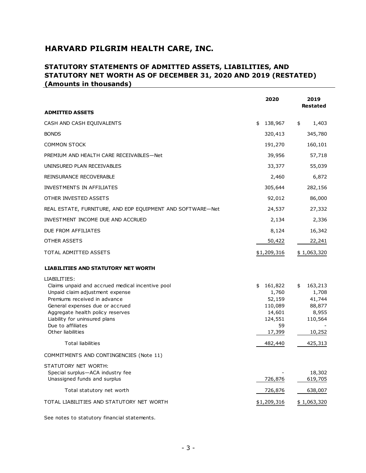### **STATUTORY STATEMENTS OF ADMITTED ASSETS, LIABILITIES, AND STATUTORY NET WORTH AS OF DECEMBER 31, 2020 AND 2019 (RESTATED) (Amounts in thousands)**

|                                                                                                                                                                                                                                                                                                                                                                                                                          | 2020                                                                                        | 2019<br><b>Restated</b>                                                                       |
|--------------------------------------------------------------------------------------------------------------------------------------------------------------------------------------------------------------------------------------------------------------------------------------------------------------------------------------------------------------------------------------------------------------------------|---------------------------------------------------------------------------------------------|-----------------------------------------------------------------------------------------------|
| <b>ADMITTED ASSETS</b>                                                                                                                                                                                                                                                                                                                                                                                                   |                                                                                             |                                                                                               |
| CASH AND CASH EQUIVALENTS                                                                                                                                                                                                                                                                                                                                                                                                | 138,967<br>\$                                                                               | 1,403<br>\$                                                                                   |
| <b>BONDS</b>                                                                                                                                                                                                                                                                                                                                                                                                             | 320,413                                                                                     | 345,780                                                                                       |
| <b>COMMON STOCK</b>                                                                                                                                                                                                                                                                                                                                                                                                      | 191,270                                                                                     | 160,101                                                                                       |
| PREMIUM AND HEALTH CARE RECEIVABLES-Net                                                                                                                                                                                                                                                                                                                                                                                  | 39,956                                                                                      | 57,718                                                                                        |
| UNINSURED PLAN RECEIVABLES                                                                                                                                                                                                                                                                                                                                                                                               | 33,377                                                                                      | 55,039                                                                                        |
| REINSURANCE RECOVERABLE                                                                                                                                                                                                                                                                                                                                                                                                  | 2,460                                                                                       | 6,872                                                                                         |
| INVESTMENTS IN AFFILIATES                                                                                                                                                                                                                                                                                                                                                                                                | 305,644                                                                                     | 282,156                                                                                       |
| OTHER INVESTED ASSETS                                                                                                                                                                                                                                                                                                                                                                                                    | 92,012                                                                                      | 86,000                                                                                        |
| REAL ESTATE, FURNITURE, AND EDP EQUIPMENT AND SOFTWARE-Net                                                                                                                                                                                                                                                                                                                                                               | 24,537                                                                                      | 27,332                                                                                        |
| INVESTMENT INCOME DUE AND ACCRUED                                                                                                                                                                                                                                                                                                                                                                                        | 2,134                                                                                       | 2,336                                                                                         |
| DUE FROM AFFILIATES                                                                                                                                                                                                                                                                                                                                                                                                      | 8,124                                                                                       | 16,342                                                                                        |
| <b>OTHER ASSETS</b>                                                                                                                                                                                                                                                                                                                                                                                                      | 50,422                                                                                      | 22,241                                                                                        |
| TOTAL ADMITTED ASSETS                                                                                                                                                                                                                                                                                                                                                                                                    | \$1,209,316                                                                                 | \$1,063,320                                                                                   |
| <b>LIABILITIES AND STATUTORY NET WORTH</b>                                                                                                                                                                                                                                                                                                                                                                               |                                                                                             |                                                                                               |
| LIABILITIES:<br>Claims unpaid and accrued medical incentive pool<br>Unpaid claim adjustment expense<br>Premiums received in advance<br>General expenses due or accrued<br>Aggregate health policy reserves<br>Liability for uninsured plans<br>Due to affiliates<br>Other liabilities<br><b>Total liabilities</b><br>COMMITMENTS AND CONTINGENCIES (Note 11)<br>STATUTORY NET WORTH:<br>Special surplus-ACA industry fee | 161,822<br>\$<br>1,760<br>52,159<br>110,089<br>14,601<br>124,551<br>59<br>17,399<br>482,440 | 163,213<br>\$<br>1,708<br>41,744<br>88,877<br>8,955<br>110,564<br>10,252<br>425,313<br>18,302 |
| Unassigned funds and surplus                                                                                                                                                                                                                                                                                                                                                                                             | 726,876                                                                                     | 619,705                                                                                       |
| Total statutory net worth                                                                                                                                                                                                                                                                                                                                                                                                | 726,876                                                                                     | 638,007                                                                                       |
| TOTAL LIABILITIES AND STATUTORY NET WORTH                                                                                                                                                                                                                                                                                                                                                                                | \$1,209,316                                                                                 | \$1,063,320                                                                                   |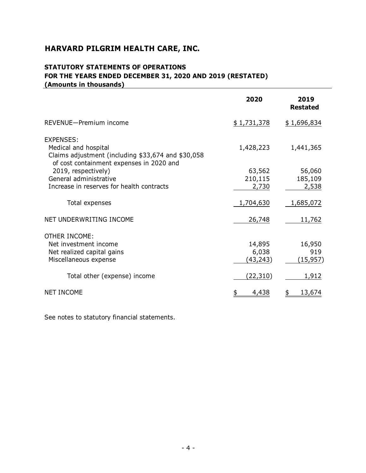### **STATUTORY STATEMENTS OF OPERATIONS FOR THE YEARS ENDED DECEMBER 31, 2020 AND 2019 (RESTATED) (Amounts in thousands)**

|                                                                                                                                      | 2020                         | 2019<br><b>Restated</b>    |
|--------------------------------------------------------------------------------------------------------------------------------------|------------------------------|----------------------------|
| REVENUE-Premium income                                                                                                               | \$1,731,378                  | \$1,696,834                |
| EXPENSES:<br>Medical and hospital<br>Claims adjustment (including \$33,674 and \$30,058<br>of cost containment expenses in 2020 and  | 1,428,223                    | 1,441,365                  |
| 2019, respectively)<br>General administrative<br>Increase in reserves for health contracts                                           | 63,562<br>210,115<br>2,730   | 56,060<br>185,109<br>2,538 |
| Total expenses                                                                                                                       | 1,704,630                    | 1,685,072                  |
| NET UNDERWRITING INCOME                                                                                                              | 26,748                       | 11,762                     |
| <b>OTHER INCOME:</b><br>Net investment income<br>Net realized capital gains<br>Miscellaneous expense<br>Total other (expense) income | 14,895<br>6,038<br>(43, 243) | 16,950<br>919<br>(15, 957) |
|                                                                                                                                      | (22, 310)                    | <u>1,912</u>               |
| <b>NET INCOME</b>                                                                                                                    | 4,438<br>\$                  | 13,674<br>\$               |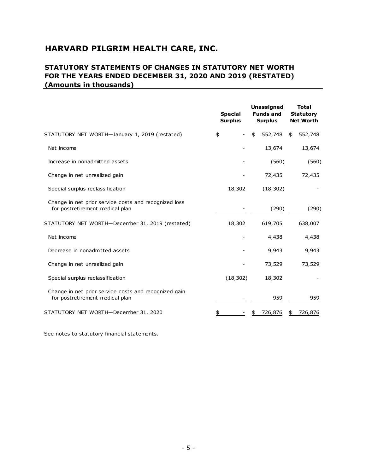### **STATUTORY STATEMENTS OF CHANGES IN STATUTORY NET WORTH FOR THE YEARS ENDED DECEMBER 31, 2020 AND 2019 (RESTATED) (Amounts in thousands)**

|                                                                                          | <b>Special</b><br><b>Surplus</b> | <b>Unassigned</b><br><b>Funds and</b><br><b>Surplus</b> | <b>Total</b><br><b>Statutory</b><br><b>Net Worth</b> |
|------------------------------------------------------------------------------------------|----------------------------------|---------------------------------------------------------|------------------------------------------------------|
| STATUTORY NET WORTH-January 1, 2019 (restated)                                           | \$                               | 552,748<br>\$                                           | 552,748<br>\$                                        |
| Net income                                                                               |                                  | 13,674                                                  | 13,674                                               |
| Increase in nonadmitted assets                                                           |                                  | (560)                                                   | (560)                                                |
| Change in net unrealized gain                                                            |                                  | 72,435                                                  | 72,435                                               |
| Special surplus reclassification                                                         | 18,302                           | (18, 302)                                               |                                                      |
| Change in net prior service costs and recognized loss<br>for postretirement medical plan |                                  | (290)                                                   | (290)                                                |
| STATUTORY NET WORTH-December 31, 2019 (restated)                                         | 18,302                           | 619,705                                                 | 638,007                                              |
| Net income                                                                               |                                  | 4,438                                                   | 4,438                                                |
| Decrease in nonadmitted assets                                                           |                                  | 9,943                                                   | 9,943                                                |
| Change in net unrealized gain                                                            |                                  | 73,529                                                  | 73,529                                               |
| Special surplus reclassification                                                         | (18, 302)                        | 18,302                                                  |                                                      |
| Change in net prior service costs and recognized gain<br>for postretirement medical plan |                                  | 959                                                     | 959                                                  |
| STATUTORY NET WORTH—December 31, 2020                                                    |                                  | 726,876                                                 | 726,876                                              |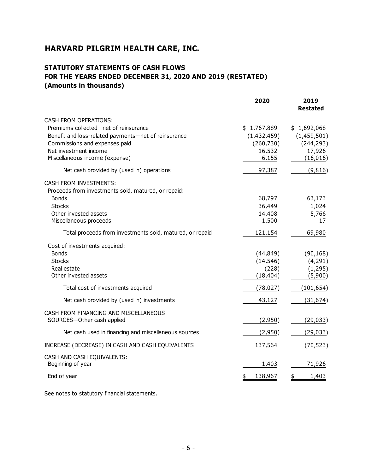### **STATUTORY STATEMENTS OF CASH FLOWS FOR THE YEARS ENDED DECEMBER 31, 2020 AND 2019 (RESTATED) (Amounts in thousands)**

|                                                                                                                                                                                                                           | 2020                                                        | 2019<br><b>Restated</b>                                         |
|---------------------------------------------------------------------------------------------------------------------------------------------------------------------------------------------------------------------------|-------------------------------------------------------------|-----------------------------------------------------------------|
| <b>CASH FROM OPERATIONS:</b><br>Premiums collected-net of reinsurance<br>Benefit and loss-related payments-net of reinsurance<br>Commissions and expenses paid<br>Net investment income<br>Miscellaneous income (expense) | \$1,767,889<br>(1,432,459)<br>(260, 730)<br>16,532<br>6,155 | \$1,692,068<br>(1,459,501)<br>(244, 293)<br>17,926<br>(16, 016) |
| Net cash provided by (used in) operations                                                                                                                                                                                 | 97,387                                                      | (9,816)                                                         |
| CASH FROM INVESTMENTS:<br>Proceeds from investments sold, matured, or repaid:<br><b>Bonds</b><br><b>Stocks</b><br>Other invested assets<br>Miscellaneous proceeds                                                         | 68,797<br>36,449<br>14,408<br>1,500                         | 63,173<br>1,024<br>5,766<br>17                                  |
| Total proceeds from investments sold, matured, or repaid                                                                                                                                                                  | 121,154                                                     | 69,980                                                          |
| Cost of investments acquired:<br>Bonds<br><b>Stocks</b><br>Real estate<br>Other invested assets                                                                                                                           | (44, 849)<br>(14, 546)<br>(228)<br>(18, 404)                | (90, 168)<br>(4,291)<br>(1, 295)<br>(5,900)                     |
| Total cost of investments acquired                                                                                                                                                                                        | (78, 027)                                                   | (101, 654)                                                      |
| Net cash provided by (used in) investments                                                                                                                                                                                | 43,127                                                      | (31, 674)                                                       |
| CASH FROM FINANCING AND MISCELLANEOUS<br>SOURCES-Other cash applied<br>Net cash used in financing and miscellaneous sources                                                                                               | (2,950)<br>(2,950)                                          | (29, 033)<br>(29, 033)                                          |
| INCREASE (DECREASE) IN CASH AND CASH EQUIVALENTS                                                                                                                                                                          | 137,564                                                     | (70, 523)                                                       |
| CASH AND CASH EQUIVALENTS:<br>Beginning of year                                                                                                                                                                           | 1,403                                                       | 71,926                                                          |
| End of year                                                                                                                                                                                                               | 138,967<br>\$                                               | \$<br>1,403                                                     |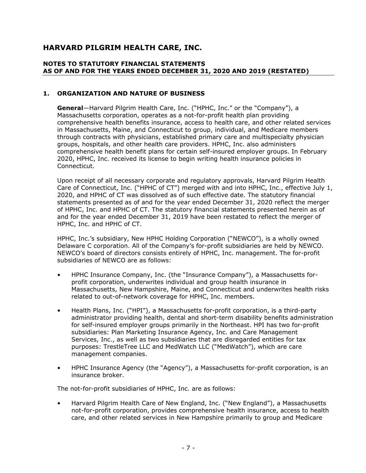### **NOTES TO STATUTORY FINANCIAL STATEMENTS AS OF AND FOR THE YEARS ENDED DECEMBER 31, 2020 AND 2019 (RESTATED)**

### **1. ORGANIZATION AND NATURE OF BUSINESS**

**General**—Harvard Pilgrim Health Care, Inc. ("HPHC, Inc." or the "Company"), a Massachusetts corporation, operates as a not-for-profit health plan providing comprehensive health benefits insurance, access to health care, and other related services in Massachusetts, Maine, and Connecticut to group, individual, and Medicare members through contracts with physicians, established primary care and multispecialty physician groups, hospitals, and other health care providers. HPHC, Inc. also administers comprehensive health benefit plans for certain self-insured employer groups. In February 2020, HPHC, Inc. received its license to begin writing health insurance policies in Connecticut.

Upon receipt of all necessary corporate and regulatory approvals, Harvard Pilgrim Health Care of Connecticut, Inc. ("HPHC of CT") merged with and into HPHC, Inc., effective July 1, 2020, and HPHC of CT was dissolved as of such effective date. The statutory financial statements presented as of and for the year ended December 31, 2020 reflect the merger of HPHC, Inc. and HPHC of CT. The statutory financial statements presented herein as of and for the year ended December 31, 2019 have been restated to reflect the merger of HPHC, Inc. and HPHC of CT.

HPHC, Inc.'s subsidiary, New HPHC Holding Corporation ("NEWCO"), is a wholly owned Delaware C corporation. All of the Company's for-profit subsidiaries are held by NEWCO. NEWCO's board of directors consists entirely of HPHC, Inc. management. The for-profit subsidiaries of NEWCO are as follows:

- HPHC Insurance Company, Inc. (the "Insurance Company"), a Massachusetts forprofit corporation, underwrites individual and group health insurance in Massachusetts, New Hampshire, Maine, and Connecticut and underwrites health risks related to out-of-network coverage for HPHC, Inc. members.
- Health Plans, Inc. ("HPI"), a Massachusetts for-profit corporation, is a third-party administrator providing health, dental and short-term disability benefits administration for self-insured employer groups primarily in the Northeast. HPI has two for-profit subsidiaries: Plan Marketing Insurance Agency, Inc. and Care Management Services, Inc., as well as two subsidiaries that are disregarded entities for tax purposes: TrestleTree LLC and MedWatch LLC ("MedWatch"), which are care management companies.
- HPHC Insurance Agency (the "Agency"), a Massachusetts for-profit corporation, is an insurance broker.

The not-for-profit subsidiaries of HPHC, Inc. are as follows:

• Harvard Pilgrim Health Care of New England, Inc. ("New England"), a Massachusetts not-for-profit corporation, provides comprehensive health insurance, access to health care, and other related services in New Hampshire primarily to group and Medicare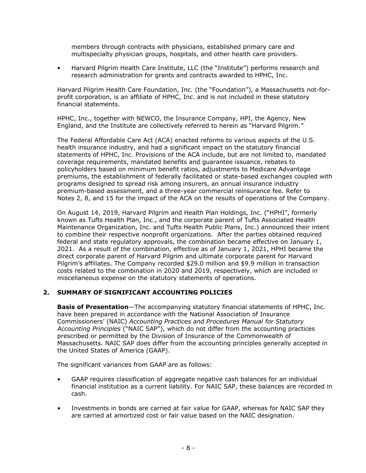members through contracts with physicians, established primary care and multispecialty physician groups, hospitals, and other health care providers.

• Harvard Pilgrim Health Care Institute, LLC (the "Institute") performs research and research administration for grants and contracts awarded to HPHC, Inc.

Harvard Pilgrim Health Care Foundation, Inc. (the "Foundation"), a Massachusetts not-forprofit corporation, is an affiliate of HPHC, Inc. and is not included in these statutory financial statements.

HPHC, Inc., together with NEWCO, the Insurance Company, HPI, the Agency, New England, and the Institute are collectively referred to herein as "Harvard Pilgrim."

The Federal Affordable Care Act (ACA) enacted reforms to various aspects of the U.S. health insurance industry, and had a significant impact on the statutory financial statements of HPHC, Inc. Provisions of the ACA include, but are not limited to, mandated coverage requirements, mandated benefits and guarantee issuance, rebates to policyholders based on minimum benefit ratios, adjustments to Medicare Advantage premiums, the establishment of federally facilitated or state-based exchanges coupled with programs designed to spread risk among insurers, an annual insurance industry premium-based assessment, and a three-year commercial reinsurance fee. Refer to Notes 2, 8, and 15 for the impact of the ACA on the results of operations of the Company.

On August 14, 2019, Harvard Pilgrim and Health Plan Holdings, Inc. ("HPHI", formerly known as Tufts Health Plan, Inc., and the corporate parent of Tufts Associated Health Maintenance Organization, Inc. and Tufts Health Public Plans, Inc.) announced their intent to combine their respective nonprofit organizations. After the parties obtained required federal and state regulatory approvals, the combination became effective on January 1, 2021. As a result of the combination, effective as of January 1, 2021, HPHI became the direct corporate parent of Harvard Pilgrim and ultimate corporate parent for Harvard Pilgrim's affiliates. The Company recorded \$29.0 million and \$9.9 million in transaction costs related to the combination in 2020 and 2019, respectively, which are included in miscellaneous expense on the statutory statements of operations.

### **2. SUMMARY OF SIGNIFICANT ACCOUNTING POLICIES**

**Basis of Presentation**—The accompanying statutory financial statements of HPHC, Inc. have been prepared in accordance with the National Association of Insurance Commissioners' (NAIC) *Accounting Practices and Procedures Manual for Statutory Accounting Principles* ("NAIC SAP"), which do not differ from the accounting practices prescribed or permitted by the Division of Insurance of the Commonwealth of Massachusetts. NAIC SAP does differ from the accounting principles generally accepted in the United States of America (GAAP).

The significant variances from GAAP are as follows:

- GAAP requires classification of aggregate negative cash balances for an individual financial institution as a current liability. For NAIC SAP, these balances are recorded in cash.
- Investments in bonds are carried at fair value for GAAP, whereas for NAIC SAP they are carried at amortized cost or fair value based on the NAIC designation.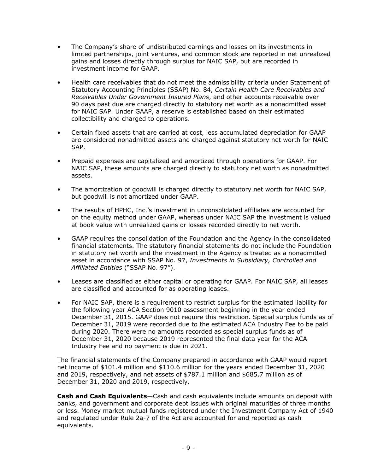- The Company's share of undistributed earnings and losses on its investments in limited partnerships, joint ventures, and common stock are reported in net unrealized gains and losses directly through surplus for NAIC SAP, but are recorded in investment income for GAAP.
- Health care receivables that do not meet the admissibility criteria under Statement of Statutory Accounting Principles (SSAP) No. 84, *Certain Health Care Receivables and Receivables Under Government Insured Plans*, and other accounts receivable over 90 days past due are charged directly to statutory net worth as a nonadmitted asset for NAIC SAP. Under GAAP, a reserve is established based on their estimated collectibility and charged to operations.
- Certain fixed assets that are carried at cost, less accumulated depreciation for GAAP are considered nonadmitted assets and charged against statutory net worth for NAIC SAP.
- Prepaid expenses are capitalized and amortized through operations for GAAP. For NAIC SAP, these amounts are charged directly to statutory net worth as nonadmitted assets.
- The amortization of goodwill is charged directly to statutory net worth for NAIC SAP, but goodwill is not amortized under GAAP.
- The results of HPHC, Inc.'s investment in unconsolidated affiliates are accounted for on the equity method under GAAP, whereas under NAIC SAP the investment is valued at book value with unrealized gains or losses recorded directly to net worth.
- GAAP requires the consolidation of the Foundation and the Agency in the consolidated financial statements. The statutory financial statements do not include the Foundation in statutory net worth and the investment in the Agency is treated as a nonadmitted asset in accordance with SSAP No. 97, *Investments in Subsidiary, Controlled and Affiliated Entities* ("SSAP No. 97").
- Leases are classified as either capital or operating for GAAP. For NAIC SAP, all leases are classified and accounted for as operating leases.
- For NAIC SAP, there is a requirement to restrict surplus for the estimated liability for the following year ACA Section 9010 assessment beginning in the year ended December 31, 2015. GAAP does not require this restriction. Special surplus funds as of December 31, 2019 were recorded due to the estimated ACA Industry Fee to be paid during 2020. There were no amounts recorded as special surplus funds as of December 31, 2020 because 2019 represented the final data year for the ACA Industry Fee and no payment is due in 2021.

The financial statements of the Company prepared in accordance with GAAP would report net income of \$101.4 million and \$110.6 million for the years ended December 31, 2020 and 2019, respectively, and net assets of \$787.1 million and \$685.7 million as of December 31, 2020 and 2019, respectively.

**Cash and Cash Equivalents**—Cash and cash equivalents include amounts on deposit with banks, and government and corporate debt issues with original maturities of three months or less. Money market mutual funds registered under the Investment Company Act of 1940 and regulated under Rule 2a-7 of the Act are accounted for and reported as cash equivalents.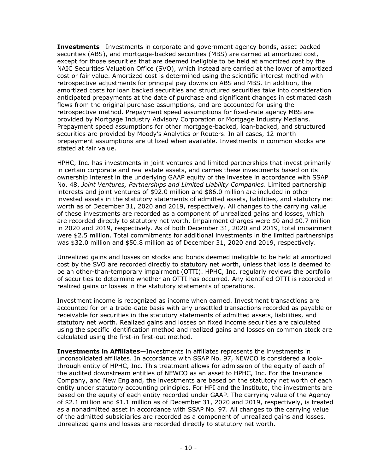**Investments**—Investments in corporate and government agency bonds, asset-backed securities (ABS), and mortgage-backed securities (MBS) are carried at amortized cost, except for those securities that are deemed ineligible to be held at amortized cost by the NAIC Securities Valuation Office (SVO), which instead are carried at the lower of amortized cost or fair value. Amortized cost is determined using the scientific interest method with retrospective adjustments for principal pay downs on ABS and MBS. In addition, the amortized costs for loan backed securities and structured securities take into consideration anticipated prepayments at the date of purchase and significant changes in estimated cash flows from the original purchase assumptions, and are accounted for using the retrospective method. Prepayment speed assumptions for fixed-rate agency MBS are provided by Mortgage Industry Advisory Corporation or Mortgage Industry Medians. Prepayment speed assumptions for other mortgage-backed, loan-backed, and structured securities are provided by Moody's Analytics or Reuters. In all cases, 12-month prepayment assumptions are utilized when available. Investments in common stocks are stated at fair value.

HPHC, Inc. has investments in joint ventures and limited partnerships that invest primarily in certain corporate and real estate assets, and carries these investments based on its ownership interest in the underlying GAAP equity of the investee in accordance with SSAP No. 48, *Joint Ventures, Partnerships and Limited Liability Companies*. Limited partnership interests and joint ventures of \$92.0 million and \$86.0 million are included in other invested assets in the statutory statements of admitted assets, liabilities, and statutory net worth as of December 31, 2020 and 2019, respectively. All changes to the carrying value of these investments are recorded as a component of unrealized gains and losses, which are recorded directly to statutory net worth. Impairment charges were \$0 and \$0.7 million in 2020 and 2019, respectively. As of both December 31, 2020 and 2019, total impairment were \$2.5 million. Total commitments for additional investments in the limited partnerships was \$32.0 million and \$50.8 million as of December 31, 2020 and 2019, respectively.

Unrealized gains and losses on stocks and bonds deemed ineligible to be held at amortized cost by the SVO are recorded directly to statutory net worth, unless that loss is deemed to be an other-than-temporary impairment (OTTI). HPHC, Inc. regularly reviews the portfolio of securities to determine whether an OTTI has occurred. Any identified OTTI is recorded in realized gains or losses in the statutory statements of operations.

Investment income is recognized as income when earned. Investment transactions are accounted for on a trade-date basis with any unsettled transactions recorded as payable or receivable for securities in the statutory statements of admitted assets, liabilities, and statutory net worth. Realized gains and losses on fixed income securities are calculated using the specific identification method and realized gains and losses on common stock are calculated using the first-in first-out method.

**Investments in Affiliates**—Investments in affiliates represents the investments in unconsolidated affiliates. In accordance with SSAP No. 97, NEWCO is considered a lookthrough entity of HPHC, Inc. This treatment allows for admission of the equity of each of the audited downstream entities of NEWCO as an asset to HPHC, Inc. For the Insurance Company, and New England, the investments are based on the statutory net worth of each entity under statutory accounting principles. For HPI and the Institute, the investments are based on the equity of each entity recorded under GAAP. The carrying value of the Agency of \$2.1 million and \$1.1 million as of December 31, 2020 and 2019, respectively, is treated as a nonadmitted asset in accordance with SSAP No. 97. All changes to the carrying value of the admitted subsidiaries are recorded as a component of unrealized gains and losses. Unrealized gains and losses are recorded directly to statutory net worth.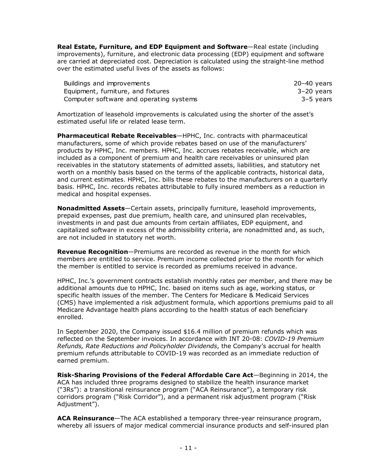**Real Estate, Furniture, and EDP Equipment and Software**—Real estate (including improvements), furniture, and electronic data processing (EDP) equipment and software are carried at depreciated cost. Depreciation is calculated using the straight-line method over the estimated useful lives of the assets as follows:

| Buildings and improvements              | $20-40$ years |
|-----------------------------------------|---------------|
| Equipment, furniture, and fixtures      | 3-20 years    |
| Computer software and operating systems | 3-5 years     |

Amortization of leasehold improvements is calculated using the shorter of the asset's estimated useful life or related lease term.

**Pharmaceutical Rebate Receivables**—HPHC, Inc. contracts with pharmaceutical manufacturers, some of which provide rebates based on use of the manufacturers' products by HPHC, Inc. members. HPHC, Inc. accrues rebates receivable, which are included as a component of premium and health care receivables or uninsured plan receivables in the statutory statements of admitted assets, liabilities, and statutory net worth on a monthly basis based on the terms of the applicable contracts, historical data, and current estimates. HPHC, Inc. bills these rebates to the manufacturers on a quarterly basis. HPHC, Inc. records rebates attributable to fully insured members as a reduction in medical and hospital expenses.

**Nonadmitted Assets**—Certain assets, principally furniture, leasehold improvements, prepaid expenses, past due premium, health care, and uninsured plan receivables, investments in and past due amounts from certain affiliates, EDP equipment, and capitalized software in excess of the admissibility criteria, are nonadmitted and, as such, are not included in statutory net worth.

**Revenue Recognition**—Premiums are recorded as revenue in the month for which members are entitled to service. Premium income collected prior to the month for which the member is entitled to service is recorded as premiums received in advance.

HPHC, Inc.'s government contracts establish monthly rates per member, and there may be additional amounts due to HPHC, Inc. based on items such as age, working status, or specific health issues of the member. The Centers for Medicare & Medicaid Services (CMS) have implemented a risk adjustment formula, which apportions premiums paid to all Medicare Advantage health plans according to the health status of each beneficiary enrolled.

In September 2020, the Company issued \$16.4 million of premium refunds which was reflected on the September invoices. In accordance with INT 20-08: *COVID-19 Premium Refunds, Rate Reductions and Policyholder Dividends*, the Company's accrual for health premium refunds attributable to COVID-19 was recorded as an immediate reduction of earned premium.

**Risk-Sharing Provisions of the Federal Affordable Care Act**—Beginning in 2014, the ACA has included three programs designed to stabilize the health insurance market ("3Rs"): a transitional reinsurance program ("ACA Reinsurance"), a temporary risk corridors program ("Risk Corridor"), and a permanent risk adjustment program ("Risk Adjustment").

**ACA Reinsurance**—The ACA established a temporary three-year reinsurance program, whereby all issuers of major medical commercial insurance products and self-insured plan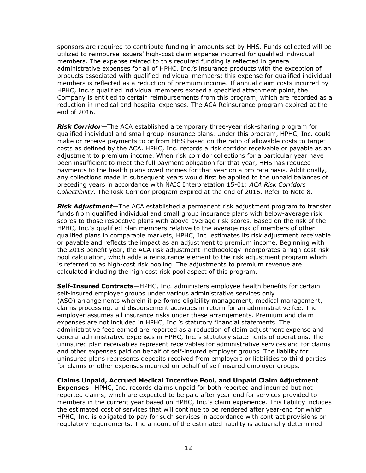sponsors are required to contribute funding in amounts set by HHS. Funds collected will be utilized to reimburse issuers' high-cost claim expense incurred for qualified individual members. The expense related to this required funding is reflected in general administrative expenses for all of HPHC, Inc.'s insurance products with the exception of products associated with qualified individual members; this expense for qualified individual members is reflected as a reduction of premium income. If annual claim costs incurred by HPHC, Inc.'s qualified individual members exceed a specified attachment point, the Company is entitled to certain reimbursements from this program, which are recorded as a reduction in medical and hospital expenses. The ACA Reinsurance program expired at the end of 2016.

*Risk Corridor*—The ACA established a temporary three-year risk-sharing program for qualified individual and small group insurance plans. Under this program, HPHC, Inc. could make or receive payments to or from HHS based on the ratio of allowable costs to target costs as defined by the ACA. HPHC, Inc. records a risk corridor receivable or payable as an adjustment to premium income. When risk corridor collections for a particular year have been insufficient to meet the full payment obligation for that year, HHS has reduced payments to the health plans owed monies for that year on a pro rata basis. Additionally, any collections made in subsequent years would first be applied to the unpaid balances of preceding years in accordance with NAIC Interpretation 15-01: *ACA Risk Corridors Collectibility*. The Risk Corridor program expired at the end of 2016. Refer to Note 8.

*Risk Adjustment*—The ACA established a permanent risk adjustment program to transfer funds from qualified individual and small group insurance plans with below-average risk scores to those respective plans with above-average risk scores. Based on the risk of the HPHC, Inc.'s qualified plan members relative to the average risk of members of other qualified plans in comparable markets, HPHC, Inc. estimates its risk adjustment receivable or payable and reflects the impact as an adjustment to premium income. Beginning with the 2018 benefit year, the ACA risk adjustment methodology incorporates a high-cost risk pool calculation, which adds a reinsurance element to the risk adjustment program which is referred to as high-cost risk pooling. The adjustments to premium revenue are calculated including the high cost risk pool aspect of this program.

**Self-Insured Contracts**—HPHC, Inc. administers employee health benefits for certain self-insured employer groups under various administrative services only (ASO) arrangements wherein it performs eligibility management, medical management, claims processing, and disbursement activities in return for an administrative fee. The employer assumes all insurance risks under these arrangements. Premium and claim expenses are not included in HPHC, Inc.'s statutory financial statements. The administrative fees earned are reported as a reduction of claim adjustment expense and general administrative expenses in HPHC, Inc.'s statutory statements of operations. The uninsured plan receivables represent receivables for administrative services and for claims and other expenses paid on behalf of self-insured employer groups. The liability for uninsured plans represents deposits received from employers or liabilities to third parties for claims or other expenses incurred on behalf of self-insured employer groups.

**Claims Unpaid, Accrued Medical Incentive Pool, and Unpaid Claim Adjustment Expenses**—HPHC, Inc. records claims unpaid for both reported and incurred but not reported claims, which are expected to be paid after year-end for services provided to members in the current year based on HPHC, Inc.'s claim experience. This liability includes the estimated cost of services that will continue to be rendered after year-end for which HPHC, Inc. is obligated to pay for such services in accordance with contract provisions or regulatory requirements. The amount of the estimated liability is actuarially determined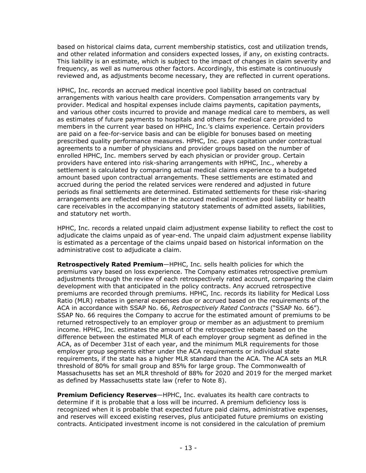based on historical claims data, current membership statistics, cost and utilization trends, and other related information and considers expected losses, if any, on existing contracts. This liability is an estimate, which is subject to the impact of changes in claim severity and frequency, as well as numerous other factors. Accordingly, this estimate is continuously reviewed and, as adjustments become necessary, they are reflected in current operations.

HPHC, Inc. records an accrued medical incentive pool liability based on contractual arrangements with various health care providers. Compensation arrangements vary by provider. Medical and hospital expenses include claims payments, capitation payments, and various other costs incurred to provide and manage medical care to members, as well as estimates of future payments to hospitals and others for medical care provided to members in the current year based on HPHC, Inc.'s claims experience. Certain providers are paid on a fee-for-service basis and can be eligible for bonuses based on meeting prescribed quality performance measures. HPHC, Inc. pays capitation under contractual agreements to a number of physicians and provider groups based on the number of enrolled HPHC, Inc. members served by each physician or provider group. Certain providers have entered into risk-sharing arrangements with HPHC, Inc., whereby a settlement is calculated by comparing actual medical claims experience to a budgeted amount based upon contractual arrangements. These settlements are estimated and accrued during the period the related services were rendered and adjusted in future periods as final settlements are determined. Estimated settlements for these risk-sharing arrangements are reflected either in the accrued medical incentive pool liability or health care receivables in the accompanying statutory statements of admitted assets, liabilities, and statutory net worth.

HPHC, Inc. records a related unpaid claim adjustment expense liability to reflect the cost to adjudicate the claims unpaid as of year-end. The unpaid claim adjustment expense liability is estimated as a percentage of the claims unpaid based on historical information on the administrative cost to adjudicate a claim.

**Retrospectively Rated Premium**—HPHC, Inc. sells health policies for which the premiums vary based on loss experience. The Company estimates retrospective premium adjustments through the review of each retrospectively rated account, comparing the claim development with that anticipated in the policy contracts. Any accrued retrospective premiums are recorded through premiums. HPHC, Inc. records its liability for Medical Loss Ratio (MLR) rebates in general expenses due or accrued based on the requirements of the ACA in accordance with SSAP No. 66, *Retrospectively Rated Contracts* ("SSAP No. 66"). SSAP No. 66 requires the Company to accrue for the estimated amount of premiums to be returned retrospectively to an employer group or member as an adjustment to premium income. HPHC, Inc. estimates the amount of the retrospective rebate based on the difference between the estimated MLR of each employer group segment as defined in the ACA, as of December 31st of each year, and the minimum MLR requirements for those employer group segments either under the ACA requirements or individual state requirements, if the state has a higher MLR standard than the ACA. The ACA sets an MLR threshold of 80% for small group and 85% for large group. The Commonwealth of Massachusetts has set an MLR threshold of 88% for 2020 and 2019 for the merged market as defined by Massachusetts state law (refer to Note 8).

**Premium Deficiency Reserves**—HPHC, Inc. evaluates its health care contracts to determine if it is probable that a loss will be incurred. A premium deficiency loss is recognized when it is probable that expected future paid claims, administrative expenses, and reserves will exceed existing reserves, plus anticipated future premiums on existing contracts. Anticipated investment income is not considered in the calculation of premium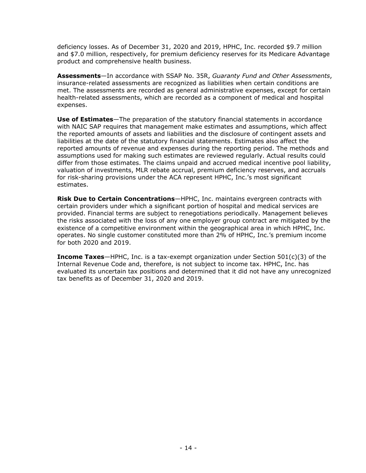deficiency losses. As of December 31, 2020 and 2019, HPHC, Inc. recorded \$9.7 million and \$7.0 million, respectively, for premium deficiency reserves for its Medicare Advantage product and comprehensive health business.

**Assessments**—In accordance with SSAP No. 35R, *Guaranty Fund and Other Assessments*, insurance-related assessments are recognized as liabilities when certain conditions are met. The assessments are recorded as general administrative expenses, except for certain health-related assessments, which are recorded as a component of medical and hospital expenses.

**Use of Estimates**—The preparation of the statutory financial statements in accordance with NAIC SAP requires that management make estimates and assumptions, which affect the reported amounts of assets and liabilities and the disclosure of contingent assets and liabilities at the date of the statutory financial statements. Estimates also affect the reported amounts of revenue and expenses during the reporting period. The methods and assumptions used for making such estimates are reviewed regularly. Actual results could differ from those estimates. The claims unpaid and accrued medical incentive pool liability, valuation of investments, MLR rebate accrual, premium deficiency reserves, and accruals for risk-sharing provisions under the ACA represent HPHC, Inc.'s most significant estimates.

**Risk Due to Certain Concentrations**—HPHC, Inc. maintains evergreen contracts with certain providers under which a significant portion of hospital and medical services are provided. Financial terms are subject to renegotiations periodically. Management believes the risks associated with the loss of any one employer group contract are mitigated by the existence of a competitive environment within the geographical area in which HPHC, Inc. operates. No single customer constituted more than 2% of HPHC, Inc.'s premium income for both 2020 and 2019.

**Income Taxes**—HPHC, Inc. is a tax-exempt organization under Section 501(c)(3) of the Internal Revenue Code and, therefore, is not subject to income tax. HPHC, Inc. has evaluated its uncertain tax positions and determined that it did not have any unrecognized tax benefits as of December 31, 2020 and 2019.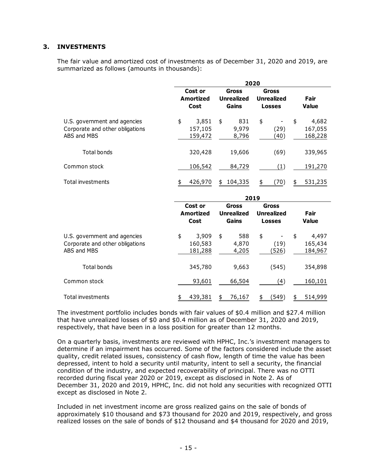### **3. INVESTMENTS**

The fair value and amortized cost of investments as of December 31, 2020 and 2019, are summarized as follows (amounts in thousands):

|                                                                                | 2020 |                                     |    |                                     |    |                                             |                      |                             |  |  |
|--------------------------------------------------------------------------------|------|-------------------------------------|----|-------------------------------------|----|---------------------------------------------|----------------------|-----------------------------|--|--|
|                                                                                |      | Cost or<br><b>Amortized</b><br>Cost |    | Gross<br><b>Unrealized</b><br>Gains |    | Gross<br><b>Unrealized</b><br><b>Losses</b> | Fair<br><b>Value</b> |                             |  |  |
| U.S. government and agencies<br>Corporate and other obligations<br>ABS and MBS | \$   | 3,851<br>157,105<br>159,472         | \$ | 831<br>9,979<br>8,796               | \$ | (29)<br>(40)                                | \$                   | 4,682<br>167,055<br>168,228 |  |  |
| Total bonds                                                                    |      | 320,428                             |    | 19,606                              |    | (69)                                        |                      | 339,965                     |  |  |
| Common stock                                                                   |      | 106,542                             |    | 84,729                              |    | (1)                                         |                      | 191,270                     |  |  |
| Total investments                                                              | \$   | 426,970                             | S  | 104,335                             |    | (70)                                        | \$                   | 531,235                     |  |  |

|                                                                                |    | Cost or<br>Amortized<br>Cost | Gross<br><b>Unrealized</b><br>Gains |    | Gross<br><b>Unrealized</b><br><b>Losses</b> |    | Fair<br><b>Value</b>        |
|--------------------------------------------------------------------------------|----|------------------------------|-------------------------------------|----|---------------------------------------------|----|-----------------------------|
| U.S. government and agencies<br>Corporate and other obligations<br>ABS and MBS | \$ | 3,909<br>160,583<br>181,288  | \$<br>588<br>4,870<br>4,205         | \$ | (19)<br>(526)                               | \$ | 4,497<br>165,434<br>184,967 |
| Total bonds                                                                    |    | 345,780                      | 9,663                               |    | (545)                                       |    | 354,898                     |
| Common stock                                                                   |    | 93,601                       | 66,504                              |    | $\left( 4\right)$                           |    | 160,101                     |
| Total investments                                                              | \$ | 439,381                      | \$<br>76,167                        |    | (549                                        |    | 514,999                     |

The investment portfolio includes bonds with fair values of \$0.4 million and \$27.4 million that have unrealized losses of \$0 and \$0.4 million as of December 31, 2020 and 2019, respectively, that have been in a loss position for greater than 12 months.

On a quarterly basis, investments are reviewed with HPHC, Inc.'s investment managers to determine if an impairment has occurred. Some of the factors considered include the asset quality, credit related issues, consistency of cash flow, length of time the value has been depressed, intent to hold a security until maturity, intent to sell a security, the financial condition of the industry, and expected recoverability of principal. There was no OTTI recorded during fiscal year 2020 or 2019, except as disclosed in Note 2. As of December 31, 2020 and 2019, HPHC, Inc. did not hold any securities with recognized OTTI except as disclosed in Note 2.

Included in net investment income are gross realized gains on the sale of bonds of approximately \$10 thousand and \$73 thousand for 2020 and 2019, respectively, and gross realized losses on the sale of bonds of \$12 thousand and \$4 thousand for 2020 and 2019,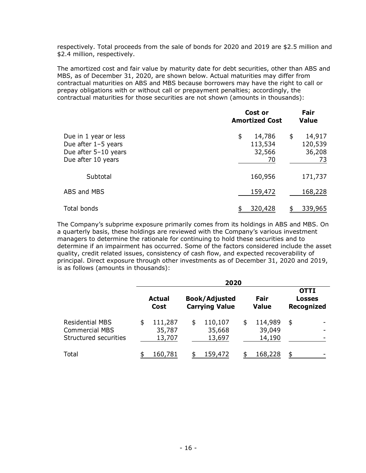respectively. Total proceeds from the sale of bonds for 2020 and 2019 are \$2.5 million and \$2.4 million, respectively.

The amortized cost and fair value by maturity date for debt securities, other than ABS and MBS, as of December 31, 2020, are shown below. Actual maturities may differ from contractual maturities on ABS and MBS because borrowers may have the right to call or prepay obligations with or without call or prepayment penalties; accordingly, the contractual maturities for those securities are not shown (amounts in thousands):

|                                                                                            | Cost or<br><b>Amortized Cost</b>        | Fair<br><b>Value</b>                    |
|--------------------------------------------------------------------------------------------|-----------------------------------------|-----------------------------------------|
| Due in 1 year or less<br>Due after 1-5 years<br>Due after 5-10 years<br>Due after 10 years | 14,786<br>\$<br>113,534<br>32,566<br>70 | 14,917<br>\$<br>120,539<br>36,208<br>73 |
| Subtotal                                                                                   | 160,956                                 | 171,737                                 |
| ABS and MBS                                                                                | 159,472                                 | 168,228                                 |
| Total bonds                                                                                | 320,428                                 | 339,965                                 |

The Company's subprime exposure primarily comes from its holdings in ABS and MBS. On a quarterly basis, these holdings are reviewed with the Company's various investment managers to determine the rationale for continuing to hold these securities and to determine if an impairment has occurred. Some of the factors considered include the asset quality, credit related issues, consistency of cash flow, and expected recoverability of principal. Direct exposure through other investments as of December 31, 2020 and 2019, is as follows (amounts in thousands):

|                                                                          | 2020 |                             |    |                                               |    |                             |                                     |  |  |  |
|--------------------------------------------------------------------------|------|-----------------------------|----|-----------------------------------------------|----|-----------------------------|-------------------------------------|--|--|--|
|                                                                          |      | <b>Actual</b><br>Cost       |    | <b>Book/Adjusted</b><br><b>Carrying Value</b> |    | Fair<br><b>Value</b>        | <b>OTTI</b><br>Losses<br>Recognized |  |  |  |
| <b>Residential MBS</b><br><b>Commercial MBS</b><br>Structured securities | \$   | 111,287<br>35,787<br>13,707 | \$ | 110,107<br>35,668<br>13,697                   | \$ | 114,989<br>39,049<br>14,190 | \$                                  |  |  |  |
| Total                                                                    |      | 160,781                     |    | 159,472                                       |    | 168,228                     | ፍ                                   |  |  |  |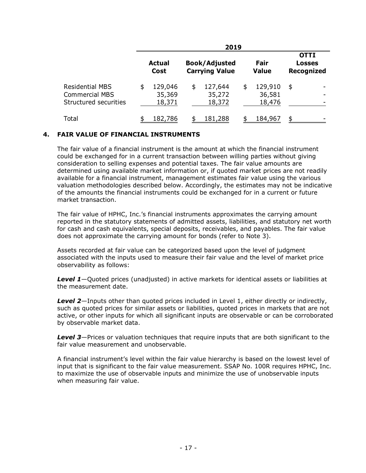|                                                                          | 2019 |                             |    |                                               |    |                             |                                     |  |  |
|--------------------------------------------------------------------------|------|-----------------------------|----|-----------------------------------------------|----|-----------------------------|-------------------------------------|--|--|
|                                                                          |      | <b>Actual</b><br>Cost       |    | <b>Book/Adjusted</b><br><b>Carrying Value</b> |    | Fair<br><b>Value</b>        | <b>OTTI</b><br>Losses<br>Recognized |  |  |
| <b>Residential MBS</b><br><b>Commercial MBS</b><br>Structured securities | \$   | 129,046<br>35,369<br>18,371 | \$ | 127,644<br>35,272<br>18,372                   | \$ | 129,910<br>36,581<br>18,476 | \$                                  |  |  |
| Total                                                                    |      | 182,786                     | \$ | 181,288                                       |    | 184,967                     | \$                                  |  |  |

### **4. FAIR VALUE OF FINANCIAL INSTRUMENTS**

The fair value of a financial instrument is the amount at which the financial instrument could be exchanged for in a current transaction between willing parties without giving consideration to selling expenses and potential taxes. The fair value amounts are determined using available market information or, if quoted market prices are not readily available for a financial instrument, management estimates fair value using the various valuation methodologies described below. Accordingly, the estimates may not be indicative of the amounts the financial instruments could be exchanged for in a current or future market transaction.

The fair value of HPHC, Inc.'s financial instruments approximates the carrying amount reported in the statutory statements of admitted assets, liabilities, and statutory net worth for cash and cash equivalents, special deposits, receivables, and payables. The fair value does not approximate the carrying amount for bonds (refer to Note 3).

Assets recorded at fair value can be categorized based upon the level of judgment associated with the inputs used to measure their fair value and the level of market price observability as follows:

*Level 1*—Quoted prices (unadjusted) in active markets for identical assets or liabilities at the measurement date.

*Level 2*—Inputs other than quoted prices included in Level 1, either directly or indirectly, such as quoted prices for similar assets or liabilities, quoted prices in markets that are not active, or other inputs for which all significant inputs are observable or can be corroborated by observable market data.

*Level 3*—Prices or valuation techniques that require inputs that are both significant to the fair value measurement and unobservable.

A financial instrument's level within the fair value hierarchy is based on the lowest level of input that is significant to the fair value measurement. SSAP No. 100R requires HPHC, Inc. to maximize the use of observable inputs and minimize the use of unobservable inputs when measuring fair value.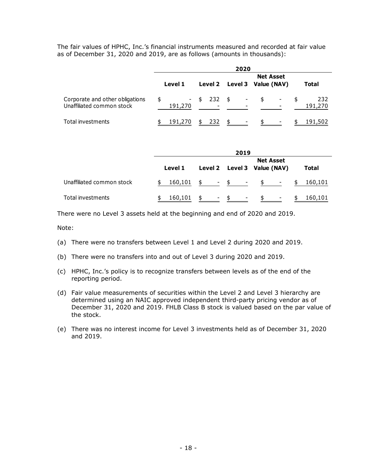The fair values of HPHC, Inc.'s financial instruments measured and recorded at fair value as of December 31, 2020 and 2019, are as follows (amounts in thousands):

|                                                              | 2020 |                           |  |                             |  |                  |        |                     |  |                 |
|--------------------------------------------------------------|------|---------------------------|--|-----------------------------|--|------------------|--------|---------------------|--|-----------------|
|                                                              |      | Level 1                   |  | Level 2 Level 3 Value (NAV) |  | <b>Net Asset</b> |        | <b>Total</b>        |  |                 |
| Corporate and other obligations<br>Unaffiliated common stock | \$   | 191,270                   |  | $-$ \$ 232 \$               |  |                  | $-$ \$ | $\blacksquare$<br>- |  | -232<br>191,270 |
| Total investments                                            |      | $$191,270$ \$ 232 \$ - \$ |  |                             |  |                  |        | $\sim$              |  | \$191,502       |

|                           |         |         |                             |                             |  | 2019   |                                            |                          |  |         |
|---------------------------|---------|---------|-----------------------------|-----------------------------|--|--------|--------------------------------------------|--------------------------|--|---------|
|                           | Level 1 |         | Level 2 Level 3 Value (NAV) |                             |  |        | <b>Net Asset</b>                           | Total                    |  |         |
| Unaffiliated common stock |         | 160,101 |                             |                             |  |        | $\texttt{S}$ – $\texttt{S}$ – $\texttt{S}$ | $\overline{\phantom{a}}$ |  | 160,101 |
| Total investments         |         | 160,101 |                             | $\texttt{S}$ - $\texttt{S}$ |  | $\sim$ |                                            |                          |  | 160,101 |

There were no Level 3 assets held at the beginning and end of 2020 and 2019.

Note:

- (a) There were no transfers between Level 1 and Level 2 during 2020 and 2019.
- (b) There were no transfers into and out of Level 3 during 2020 and 2019.
- (c) HPHC, Inc.'s policy is to recognize transfers between levels as of the end of the reporting period.
- (d) Fair value measurements of securities within the Level 2 and Level 3 hierarchy are determined using an NAIC approved independent third-party pricing vendor as of December 31, 2020 and 2019. FHLB Class B stock is valued based on the par value of the stock.
- (e) There was no interest income for Level 3 investments held as of December 31, 2020 and 2019.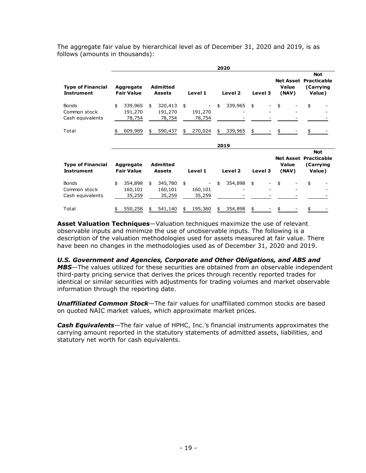The aggregate fair value by hierarchical level as of December 31, 2020 and 2019, is as follows (amounts in thousands):

|                                                  |                                    |                                    |                         | 2020          |         |                       |                                                                   |
|--------------------------------------------------|------------------------------------|------------------------------------|-------------------------|---------------|---------|-----------------------|-------------------------------------------------------------------|
| <b>Type of Financial</b><br><b>Instrument</b>    | Aggregate<br><b>Fair Value</b>     | Admitted<br><b>Assets</b>          | Level 1                 | Level 2       | Level 3 | Value<br>(NAV)        | <b>Not</b><br><b>Net Asset Practicable</b><br>(Carrying<br>Value) |
| Bonds<br>Common stock<br>Cash equivalents        | 339,965<br>\$<br>191,270<br>78,754 | 320,413<br>\$<br>191,270<br>78,754 | \$<br>191,270<br>78,754 | 339,965<br>\$ | \$      | \$                    | \$                                                                |
| Total                                            | 609,989                            | 590,437<br>\$                      | 270,024                 | 339,965<br>\$ | \$      |                       |                                                                   |
|                                                  |                                    |                                    |                         | 2019          |         |                       |                                                                   |
| <b>Type of Financial</b><br><b>Instrument</b>    | Aggregate<br><b>Fair Value</b>     | <b>Admitted</b><br><b>Assets</b>   | Level 1                 | Level 2       | Level 3 | <b>Value</b><br>(NAV) | <b>Not</b><br><b>Net Asset Practicable</b><br>(Carrying<br>Value) |
| <b>Bonds</b><br>Common stock<br>Cash equivalents | \$<br>354,898<br>160,101<br>35,259 | \$<br>345,780<br>160,101<br>35,259 | \$<br>160,101<br>35,259 | 354,898<br>\$ | \$      | \$                    | \$                                                                |
| Total                                            | 550,258<br>\$                      | 541,140<br>\$                      | 195,360<br>\$           | 354,898<br>\$ | \$      |                       |                                                                   |

**Asset Valuation Techniques**—Valuation techniques maximize the use of relevant observable inputs and minimize the use of unobservable inputs. The following is a description of the valuation methodologies used for assets measured at fair value. There have been no changes in the methodologies used as of December 31, 2020 and 2019.

*U.S. Government and Agencies, Corporate and Other Obligations, and ABS and MBS*—The values utilized for these securities are obtained from an observable independent third-party pricing service that derives the prices through recently reported trades for identical or similar securities with adjustments for trading volumes and market observable information through the reporting date.

*Unaffiliated Common Stock*—The fair values for unaffiliated common stocks are based on quoted NAIC market values, which approximate market prices.

*Cash Equivalents*—The fair value of HPHC, Inc.'s financial instruments approximates the carrying amount reported in the statutory statements of admitted assets, liabilities, and statutory net worth for cash equivalents.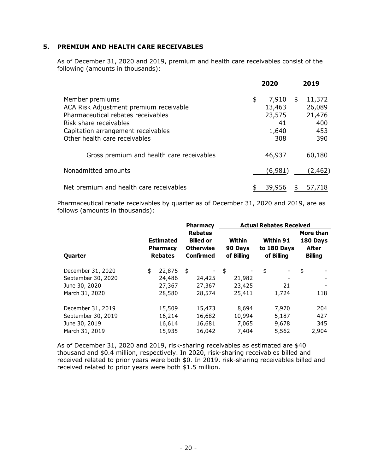### **5. PREMIUM AND HEALTH CARE RECEIVABLES**

As of December 31, 2020 and 2019, premium and health care receivables consist of the following (amounts in thousands):

|                                                                                                                                                                                                  | 2020                                                  | 2019                                                  |
|--------------------------------------------------------------------------------------------------------------------------------------------------------------------------------------------------|-------------------------------------------------------|-------------------------------------------------------|
| Member premiums<br>ACA Risk Adjustment premium receivable<br>Pharmaceutical rebates receivables<br>Risk share receivables<br>Capitation arrangement receivables<br>Other health care receivables | \$<br>7,910<br>13,463<br>23,575<br>41<br>1,640<br>308 | \$<br>11,372<br>26,089<br>21,476<br>400<br>453<br>390 |
| Gross premium and health care receivables                                                                                                                                                        | 46,937                                                | 60,180                                                |
| Nonadmitted amounts                                                                                                                                                                              | (6,981)                                               | (2,462)                                               |
| Net premium and health care receivables                                                                                                                                                          | 39,956                                                | 57,718                                                |

Pharmaceutical rebate receivables by quarter as of December 31, 2020 and 2019, are as follows (amounts in thousands):

|                                                                            |                                                       | <b>Pharmacy</b>                                                            | <b>Actual Rebates Received</b>                                            |                                   |    |                                                  |    |                            |  |
|----------------------------------------------------------------------------|-------------------------------------------------------|----------------------------------------------------------------------------|---------------------------------------------------------------------------|-----------------------------------|----|--------------------------------------------------|----|----------------------------|--|
| Quarter                                                                    | <b>Estimated</b><br><b>Pharmacy</b><br><b>Rebates</b> | <b>Rebates</b><br><b>Billed or</b><br><b>Otherwise</b><br><b>Confirmed</b> | Within 91<br>Within<br>90 Days<br>to 180 Days<br>of Billing<br>of Billing |                                   |    | More than<br>180 Days<br>After<br><b>Billing</b> |    |                            |  |
| December 31, 2020<br>September 30, 2020<br>June 30, 2020<br>March 31, 2020 | \$<br>22,875<br>24,486<br>27,367<br>28,580            | \$<br>$\overline{\phantom{0}}$<br>24,425<br>27,367<br>28,574               | $\frac{1}{2}$                                                             | 21,982<br>23,425<br>25,411        | \$ | $\qquad \qquad \blacksquare$<br>21<br>1,724      | \$ | 118                        |  |
| December 31, 2019<br>September 30, 2019<br>June 30, 2019<br>March 31, 2019 | 15,509<br>16,214<br>16,614<br>15,935                  | 15,473<br>16,682<br>16,681<br>16,042                                       |                                                                           | 8,694<br>10,994<br>7,065<br>7,404 |    | 7,970<br>5,187<br>9,678<br>5,562                 |    | 204<br>427<br>345<br>2,904 |  |

As of December 31, 2020 and 2019, risk-sharing receivables as estimated are \$40 thousand and \$0.4 million, respectively. In 2020, risk-sharing receivables billed and received related to prior years were both \$0. In 2019, risk-sharing receivables billed and received related to prior years were both \$1.5 million.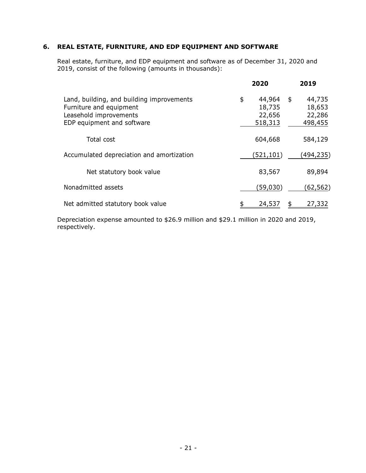### **6. REAL ESTATE, FURNITURE, AND EDP EQUIPMENT AND SOFTWARE**

Real estate, furniture, and EDP equipment and software as of December 31, 2020 and 2019, consist of the following (amounts in thousands):

|                                                                                                                              | 2020                                        | 2019                                        |
|------------------------------------------------------------------------------------------------------------------------------|---------------------------------------------|---------------------------------------------|
| Land, building, and building improvements<br>Furniture and equipment<br>Leasehold improvements<br>EDP equipment and software | \$<br>44,964<br>18,735<br>22,656<br>518,313 | \$<br>44,735<br>18,653<br>22,286<br>498,455 |
| Total cost                                                                                                                   | 604,668                                     | 584,129                                     |
| Accumulated depreciation and amortization                                                                                    | (521, 101)                                  | (494,235)                                   |
| Net statutory book value                                                                                                     | 83,567                                      | 89,894                                      |
| Nonadmitted assets                                                                                                           | (59,030                                     | (62, 562)                                   |
| Net admitted statutory book value                                                                                            | 24,537                                      | 27,332                                      |

Depreciation expense amounted to \$26.9 million and \$29.1 million in 2020 and 2019, respectively.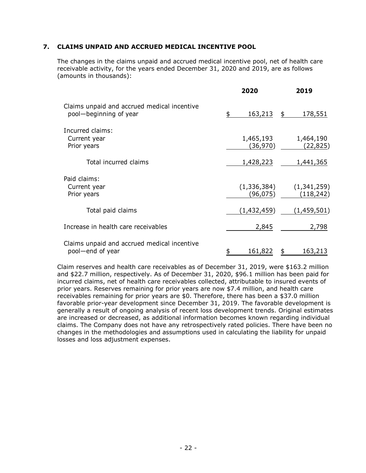### **7. CLAIMS UNPAID AND ACCRUED MEDICAL INCENTIVE POOL**

The changes in the claims unpaid and accrued medical incentive pool, net of health care receivable activity, for the years ended December 31, 2020 and 2019, are as follows (amounts in thousands):

|                                                                       | 2020                    | 2019                       |
|-----------------------------------------------------------------------|-------------------------|----------------------------|
| Claims unpaid and accrued medical incentive<br>pool-beginning of year | $163,213$ \$<br>\$      | 178,551                    |
| Incurred claims:<br>Current year<br>Prior years                       | 1,465,193<br>(36,970)   | 1,464,190<br>(22,825)      |
| Total incurred claims                                                 | 1,428,223               | 1,441,365                  |
| Paid claims:<br>Current year<br>Prior years                           | (1,336,384)<br>(96,075) | (1, 341, 259)<br>(118,242) |
| Total paid claims                                                     | (1,432,459)             | (1,459,501)                |
| Increase in health care receivables                                   | 2,845                   | 2,798                      |
| Claims unpaid and accrued medical incentive<br>pool—end of year       | 161,822<br>\$           | 163,213<br>\$              |

Claim reserves and health care receivables as of December 31, 2019, were \$163.2 million and \$22.7 million, respectively. As of December 31, 2020, \$96.1 million has been paid for incurred claims, net of health care receivables collected, attributable to insured events of prior years. Reserves remaining for prior years are now \$7.4 million, and health care receivables remaining for prior years are \$0. Therefore, there has been a \$37.0 million favorable prior-year development since December 31, 2019. The favorable development is generally a result of ongoing analysis of recent loss development trends. Original estimates are increased or decreased, as additional information becomes known regarding individual claims. The Company does not have any retrospectively rated policies. There have been no changes in the methodologies and assumptions used in calculating the liability for unpaid losses and loss adjustment expenses.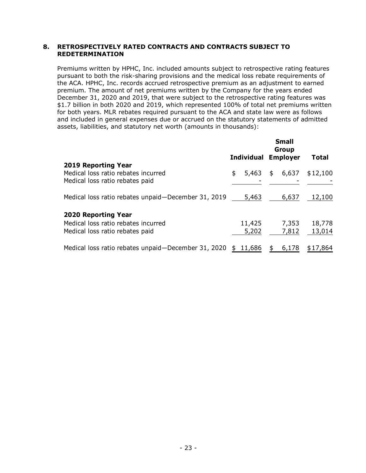### **8. RETROSPECTIVELY RATED CONTRACTS AND CONTRACTS SUBJECT TO REDETERMINATION**

Premiums written by HPHC, Inc. included amounts subject to retrospective rating features pursuant to both the risk-sharing provisions and the medical loss rebate requirements of the ACA. HPHC, Inc. records accrued retrospective premium as an adjustment to earned premium. The amount of net premiums written by the Company for the years ended December 31, 2020 and 2019, that were subject to the retrospective rating features was \$1.7 billion in both 2020 and 2019, which represented 100% of total net premiums written for both years. MLR rebates required pursuant to the ACA and state law were as follows and included in general expenses due or accrued on the statutory statements of admitted assets, liabilities, and statutory net worth (amounts in thousands):

|                                                                                                      |                   | <b>Small</b><br>Group |                  |
|------------------------------------------------------------------------------------------------------|-------------------|-----------------------|------------------|
|                                                                                                      | <b>Individual</b> | <b>Employer</b>       | Total            |
| <b>2019 Reporting Year</b><br>Medical loss ratio rebates incurred<br>Medical loss ratio rebates paid | \$<br>5,463       | \$<br>6,637           | \$12,100         |
| Medical loss ratio rebates unpaid-December 31, 2019                                                  | 5,463             | 6,637                 | 12,100           |
| <b>2020 Reporting Year</b><br>Medical loss ratio rebates incurred<br>Medical loss ratio rebates paid | 11,425<br>5,202   | 7,353<br>7,812        | 18,778<br>13,014 |
| Medical loss ratio rebates unpaid-December 31, 2020                                                  | 11,686            | 6,178                 | \$17,864         |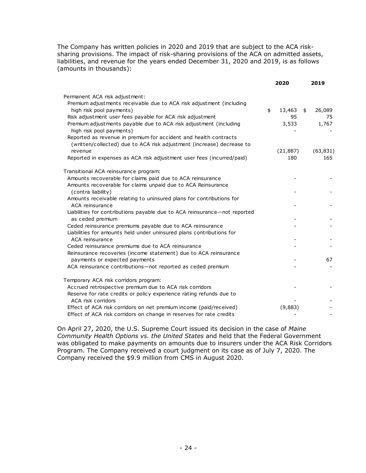The Company has written policies in 2020 and 2019 that are subject to the ACA risksharing provisions. The impact of risk-sharing provisions of the ACA on admitted assets, liabilities, and revenue for the years ended December 31, 2020 and 2019, is as follows (amounts in thousands):

|                                                                                                                                                      | 2020         | 2019         |
|------------------------------------------------------------------------------------------------------------------------------------------------------|--------------|--------------|
| Permanent ACA risk adjustment:                                                                                                                       |              |              |
| Premium adjustments receivable due to ACA risk adjustment (including<br>high risk pool payments)                                                     | \$<br>13,463 | \$<br>26,089 |
| Risk adjustment user fees payable for ACA risk adjustment                                                                                            | 95           | 75           |
| Premium adjustments payable due to ACA risk adjustment (including<br>high risk pool payments)                                                        | 3,533        | 1,767        |
| Reported as revenue in premium for accident and health contracts<br>(written/collected) due to ACA risk adjustment (increase) decrease to<br>revenue | (21, 887)    | (63, 831)    |
| Reported in expenses as ACA risk adjustment user fees (incurred/paid)                                                                                | 180          | 165          |
| Transitional ACA reinsurance program:                                                                                                                |              |              |
| Amounts recoverable for claims paid due to ACA reinsurance                                                                                           |              |              |
| Amounts recoverable for claims unpaid due to ACA Reinsurance<br>(contra liability)                                                                   |              |              |
| Amounts receivable relating to uninsured plans for contributions for<br>ACA reinsurance                                                              |              |              |
| Liabilities for contributions payable due to ACA reinsurance-not reported<br>as ceded premium                                                        |              |              |
| Ceded reinsurance premiums payable due to ACA reinsurance<br>Liabilities for amounts held under uninsured plans contributions for                    |              |              |
| ACA reinsurance                                                                                                                                      |              |              |
| Ceded reinsurance premiums due to ACA reinsurance                                                                                                    |              |              |
| Reinsurance recoveries (income statement) due to ACA reinsurance<br>payments or expected payments                                                    |              | 67           |
| ACA reinsurance contributions-not reported as ceded premium                                                                                          |              |              |
| Temporary ACA risk corridors program:                                                                                                                |              |              |
| Accrued retrospective premium due to ACA risk corridors                                                                                              |              |              |
| Reserve for rate credits or policy experience rating refunds due to<br>ACA risk corridors                                                            |              |              |
| Effect of ACA risk corridors on net premium income (paid/received)                                                                                   | (9,883)      |              |
| Effect of ACA risk corridors on change in reserves for rate credits                                                                                  |              |              |

On April 27, 2020, the U.S. Supreme Court issued its decision in the case of *Maine Community Health Options vs. the United States* and held that the Federal Government was obligated to make payments on amounts due to insurers under the ACA Risk Corridors Program. The Company received a court judgment on its case as of July 7, 2020. The Company received the \$9.9 million from CMS in August 2020.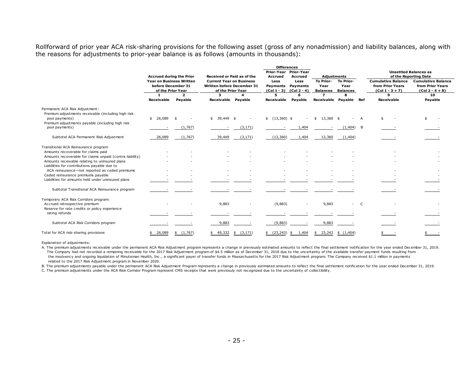Rollforward of prior year ACA risk-sharing provisions for the following asset (gross of any nonadmission) and liability balances, along with the reasons for adjustments to prior-year balance is as follows (amounts in thousands):

|                                                          |                                 |                         |                                   |                          | <b>Differences</b>       |                          |                             |                 |                |                           |                              |
|----------------------------------------------------------|---------------------------------|-------------------------|-----------------------------------|--------------------------|--------------------------|--------------------------|-----------------------------|-----------------|----------------|---------------------------|------------------------------|
|                                                          |                                 |                         |                                   |                          | Prior-Year Prior-Year    |                          |                             |                 |                |                           | <b>Unsettled Balances as</b> |
|                                                          | <b>Accrued during the Prior</b> |                         | Received or Paid as of the        |                          | <b>Accrued</b>           | <b>Accrued</b>           | <b>Adjustments</b>          |                 |                |                           | of the Reporting Date        |
|                                                          | <b>Year on Business Written</b> |                         | <b>Current Year on Business</b>   |                          | Less                     | Less                     | <b>To Prior-</b>            | To Prior-       |                | <b>Cumulative Balance</b> | <b>Cumulative Balance</b>    |
|                                                          | before December 31              |                         | <b>Written before December 31</b> |                          | <b>Payments Payments</b> |                          | Year                        | Year            |                | from Prior Years          | from Prior Years             |
|                                                          | of the Prior Year               |                         | of the Prior Year                 |                          | $(Col 1 - 3)$            | $(Col 2 - 4)$            | <b>Balances</b>             | <b>Balances</b> |                | $(Col 1 - 3 + 7)$         | $(Col 2 - 4 + 8)$            |
|                                                          | Receivable                      | $\mathbf{2}$<br>Payable | з<br>Receivable Payable           | 4                        | 5.<br>Receivable         | 6<br>Payable             | 7<br>Receivable Payable Ref | 8               |                | 9<br><b>Receivable</b>    | 10<br>Payable                |
| Permanent ACA Risk Adjustment:                           |                                 |                         |                                   |                          |                          |                          |                             |                 |                |                           |                              |
| Premium adjustments receivable (including high risk      |                                 |                         |                                   |                          |                          |                          |                             |                 |                |                           |                              |
| pool payments)                                           | \$26,089                        | \$                      | $$39,449$ \$                      | $\overline{\phantom{a}}$ | \$(13,360) \$            | $\overline{\phantom{a}}$ | 13,360 \$<br>\$             |                 | $\overline{A}$ | \$                        | \$                           |
| Premium adjustments payable (including high risk         |                                 |                         |                                   |                          |                          |                          |                             |                 |                |                           |                              |
| pool payments)                                           |                                 | (1,767)                 |                                   | (3, 171)                 |                          | 1,404                    |                             | (1, 404)        | B              |                           |                              |
| Subtotal ACA Permanent Risk Adjustment                   | 26,089                          | (1,767)                 | 39,449                            | (3, 171)                 | (13, 360)                | 1,404                    | 13,360                      | (1, 404)        |                |                           |                              |
| Transitional ACA Reinsurance program:                    |                                 |                         |                                   |                          |                          |                          |                             |                 |                |                           |                              |
| Amounts recoverable for claims paid                      |                                 |                         |                                   |                          |                          |                          |                             |                 |                |                           |                              |
| Amounts recoverable for claims unpaid (contra liability) |                                 |                         |                                   |                          |                          |                          |                             |                 |                |                           |                              |
| Amounts receivable relating to uninsured plans           |                                 |                         |                                   |                          |                          |                          |                             |                 |                |                           |                              |
| Liabilities for contributions payable due to             |                                 |                         |                                   |                          |                          |                          |                             |                 |                |                           |                              |
| ACA reinsurance-not reported as ceded premiums           |                                 |                         |                                   |                          |                          |                          |                             |                 |                |                           |                              |
| Ceded reinsurance premiums payable                       |                                 |                         |                                   |                          |                          |                          |                             |                 |                |                           |                              |
| Liabilities for amounts held under uninsured plans       |                                 |                         |                                   |                          |                          |                          |                             |                 |                |                           |                              |
| Subtotal Transitional ACA Reinsurance program            |                                 |                         |                                   |                          |                          |                          |                             |                 |                |                           |                              |
| Temporary ACA Risk Corridors program:                    |                                 |                         |                                   |                          |                          |                          |                             |                 |                |                           |                              |
| Accrued retrospective premium                            |                                 |                         | 9,883                             |                          | (9,883)                  |                          | 9,883                       |                 | $-$ C          |                           |                              |
| Reserve for rate credits or policy experience            |                                 |                         |                                   |                          |                          |                          |                             |                 |                |                           |                              |
| rating refunds                                           |                                 |                         |                                   |                          |                          |                          |                             |                 |                |                           |                              |
| Subtotal ACA Risk Corridors program                      |                                 |                         | 9,883                             |                          | (9,883)                  |                          | 9,883                       |                 |                |                           |                              |
| Total for ACA risk-sharing provisions                    | 26,089<br>\$                    | \$(1,767)               | $$49,332$$ \$ $(3,171)$           |                          | $$$ (23,243) $$$ 1,404   |                          | $$23,243$$ $$(1,404)$       |                 |                |                           |                              |

Explanation of adjustments:

A. The premium adjustments receivable under the permanent ACA Risk Adjustment program represents a change in previously estimated amounts to reflect the final settlement notification for the year ended December 31, 2019. The Company had not recorded a remaining receivable for the 2017 Risk Adjustment program of \$4.5 million as of December 31, 2018 due to the uncertainty of the available transfer payment funds resulting from the insolvency and ongoing liquidation of Minuteman Health, Inc., a significant payer of transfer funds in Massachusetts for the 2017 Risk Adjustment program. The Company received \$1.1 million in payments related to the 2017 Risk Adjustment program in November 2020.

B. The premium adjustments payable under the permanent ACA Risk Adjustment Program represents a change in previously estimated amounts to reflect the final settlement notification for the year ended December 31, 2019.

C. The premium adjustments under the ACA Risk Corridor Program represent CMS receipts that were previosuly not recognized due to the uncertainty of collectibility.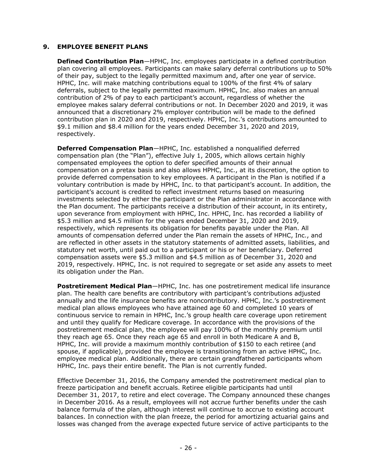### **9. EMPLOYEE BENEFIT PLANS**

**Defined Contribution Plan**—HPHC, Inc. employees participate in a defined contribution plan covering all employees. Participants can make salary deferral contributions up to 50% of their pay, subject to the legally permitted maximum and, after one year of service. HPHC, Inc. will make matching contributions equal to 100% of the first 4% of salary deferrals, subject to the legally permitted maximum. HPHC, Inc. also makes an annual contribution of 2% of pay to each participant's account, regardless of whether the employee makes salary deferral contributions or not. In December 2020 and 2019, it was announced that a discretionary 2% employer contribution will be made to the defined contribution plan in 2020 and 2019, respectively. HPHC, Inc.'s contributions amounted to \$9.1 million and \$8.4 million for the years ended December 31, 2020 and 2019, respectively.

**Deferred Compensation Plan**—HPHC, Inc. established a nonqualified deferred compensation plan (the "Plan"), effective July 1, 2005, which allows certain highly compensated employees the option to defer specified amounts of their annual compensation on a pretax basis and also allows HPHC, Inc., at its discretion, the option to provide deferred compensation to key employees. A participant in the Plan is notified if a voluntary contribution is made by HPHC, Inc. to that participant's account. In addition, the participant's account is credited to reflect investment returns based on measuring investments selected by either the participant or the Plan administrator in accordance with the Plan document. The participants receive a distribution of their account, in its entirety, upon severance from employment with HPHC, Inc. HPHC, Inc. has recorded a liability of \$5.3 million and \$4.5 million for the years ended December 31, 2020 and 2019, respectively, which represents its obligation for benefits payable under the Plan. All amounts of compensation deferred under the Plan remain the assets of HPHC, Inc., and are reflected in other assets in the statutory statements of admitted assets, liabilities, and statutory net worth, until paid out to a participant or his or her beneficiary. Deferred compensation assets were \$5.3 million and \$4.5 million as of December 31, 2020 and 2019, respectively. HPHC, Inc. is not required to segregate or set aside any assets to meet its obligation under the Plan.

**Postretirement Medical Plan**—HPHC, Inc. has one postretirement medical life insurance plan. The health care benefits are contributory with participant's contributions adjusted annually and the life insurance benefits are noncontributory. HPHC, Inc.'s postretirement medical plan allows employees who have attained age 60 and completed 10 years of continuous service to remain in HPHC, Inc.'s group health care coverage upon retirement and until they qualify for Medicare coverage. In accordance with the provisions of the postretirement medical plan, the employee will pay 100% of the monthly premium until they reach age 65. Once they reach age 65 and enroll in both Medicare A and B, HPHC, Inc. will provide a maximum monthly contribution of \$150 to each retiree (and spouse, if applicable), provided the employee is transitioning from an active HPHC, Inc. employee medical plan. Additionally, there are certain grandfathered participants whom HPHC, Inc. pays their entire benefit. The Plan is not currently funded.

Effective December 31, 2016, the Company amended the postretirement medical plan to freeze participation and benefit accruals. Retiree eligible participants had until December 31, 2017, to retire and elect coverage. The Company announced these changes in December 2016. As a result, employees will not accrue further benefits under the cash balance formula of the plan, although interest will continue to accrue to existing account balances. In connection with the plan freeze, the period for amortizing actuarial gains and losses was changed from the average expected future service of active participants to the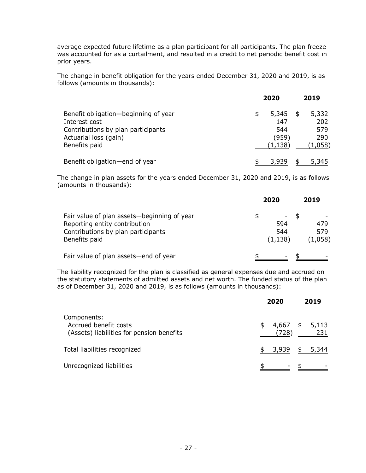average expected future lifetime as a plan participant for all participants. The plan freeze was accounted for as a curtailment, and resulted in a credit to net periodic benefit cost in prior years.

The change in benefit obligation for the years ended December 31, 2020 and 2019, is as follows (amounts in thousands):

|                                                                                                                                       |   | 2020                                    |               | 2019                                  |
|---------------------------------------------------------------------------------------------------------------------------------------|---|-----------------------------------------|---------------|---------------------------------------|
| Benefit obligation-beginning of year<br>Interest cost<br>Contributions by plan participants<br>Actuarial loss (gain)<br>Benefits paid | S | 5,345<br>147<br>544<br>(959)<br>(1,138) | \$            | 5,332<br>202<br>579<br>290<br>(1,058) |
| Benefit obligation—end of year                                                                                                        |   | 3,939                                   | $\frac{1}{2}$ | 5,345                                 |

The change in plan assets for the years ended December 31, 2020 and 2019, is as follows (amounts in thousands):

|                                                                                                                                     | 2020 |                            |  | 2019                 |  |  |
|-------------------------------------------------------------------------------------------------------------------------------------|------|----------------------------|--|----------------------|--|--|
| Fair value of plan assets—beginning of year<br>Reporting entity contribution<br>Contributions by plan participants<br>Benefits paid | S    | -<br>594<br>544<br>(1,138) |  | 479<br>579<br>1,058) |  |  |
| Fair value of plan assets-end of year                                                                                               |      |                            |  |                      |  |  |

The liability recognized for the plan is classified as general expenses due and accrued on the statutory statements of admitted assets and net worth. The funded status of the plan as of December 31, 2020 and 2019, is as follows (amounts in thousands):

|                                                                                   | 2020 |                           |  | 2019     |
|-----------------------------------------------------------------------------------|------|---------------------------|--|----------|
| Components:<br>Accrued benefit costs<br>(Assets) liabilities for pension benefits | \$   | $4,667$ \$ 5,113<br>(728) |  | 231      |
| Total liabilities recognized                                                      |      | \$3,939                   |  | \$ 5,344 |
| Unrecognized liabilities                                                          |      | -                         |  |          |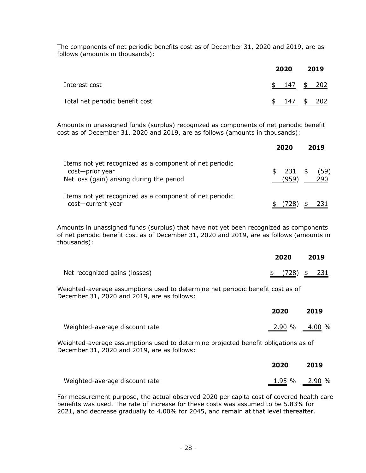The components of net periodic benefits cost as of December 31, 2020 and 2019, are as follows (amounts in thousands):

|                                 | 2020          | 2019 |
|---------------------------------|---------------|------|
| Interest cost                   | $$147$ \$ 202 |      |
| Total net periodic benefit cost | $$147$ \$ 202 |      |

Amounts in unassigned funds (surplus) recognized as components of net periodic benefit cost as of December 31, 2020 and 2019, are as follows (amounts in thousands):

|                                                                                                                         | 2020  | 2019               |
|-------------------------------------------------------------------------------------------------------------------------|-------|--------------------|
| Items not yet recognized as a component of net periodic<br>cost-prior year<br>Net loss (gain) arising during the period | (959) | 231 \$ (59)<br>290 |
| Items not yet recognized as a component of net periodic<br>cost-current year                                            |       |                    |

Amounts in unassigned funds (surplus) that have not yet been recognized as components of net periodic benefit cost as of December 31, 2020 and 2019, are as follows (amounts in thousands):

|                               |  |  |  |   |  | 2020                 | 2019 |
|-------------------------------|--|--|--|---|--|----------------------|------|
| Net recognized gains (losses) |  |  |  |   |  | $\frac{$(728) $231}$ |      |
| .                             |  |  |  | . |  |                      |      |

Weighted-average assumptions used to determine net periodic benefit cost as of December 31, 2020 and 2019, are as follows:

|                                | 2020 | 2019                      |
|--------------------------------|------|---------------------------|
| Weighted-average discount rate |      | 2.90 % 4.00 %<br>________ |

Weighted-average assumptions used to determine projected benefit obligations as of December 31, 2020 and 2019, are as follows:

|                                | 2020 | 2019          |
|--------------------------------|------|---------------|
| Weighted-average discount rate |      | 1.95 % 2.90 % |

For measurement purpose, the actual observed 2020 per capita cost of covered health care benefits was used. The rate of increase for these costs was assumed to be 5.83% for 2021, and decrease gradually to 4.00% for 2045, and remain at that level thereafter.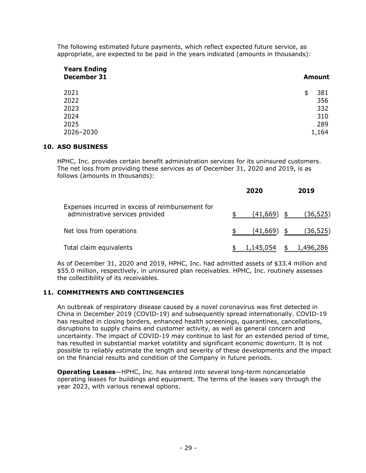The following estimated future payments, which reflect expected future service, as appropriate, are expected to be paid in the years indicated (amounts in thousands):

| <b>Years Ending</b><br>December 31 | <b>Amount</b> |
|------------------------------------|---------------|
| 2021                               | 381<br>\$     |
| 2022                               | 356           |
| 2023                               | 332           |
| 2024                               | 310           |
| 2025                               | 289           |
| 2026-2030                          | 1,164         |

### **10. ASO BUSINESS**

HPHC, Inc. provides certain benefit administration services for its uninsured customers. The net loss from providing these services as of December 31, 2020 and 2019, is as follows (amounts in thousands):

|                                                                                      | 2020                           | 2019      |
|--------------------------------------------------------------------------------------|--------------------------------|-----------|
| Expenses incurred in excess of reimbursement for<br>administrative services provided | (41, 669)                      | (36, 525) |
| Net loss from operations                                                             | $(41,669)$ \$                  | (36, 525) |
| Total claim equivalents                                                              | 1,145 <u>,054</u> \$ 1,496,286 |           |

As of December 31, 2020 and 2019, HPHC, Inc. had admitted assets of \$33.4 million and \$55.0 million, respectively, in uninsured plan receivables. HPHC, Inc. routinely assesses the collectibility of its receivables.

### **11. COMMITMENTS AND CONTINGENCIES**

An outbreak of respiratory disease caused by a novel coronavirus was first detected in China in December 2019 (COVID-19) and subsequently spread internationally. COVID-19 has resulted in closing borders, enhanced health screenings, quarantines, cancellations, disruptions to supply chains and customer activity, as well as general concern and uncertainty. The impact of COVID-19 may continue to last for an extended period of time, has resulted in substantial market volatility and significant economic downturn. It is not possible to reliably estimate the length and severity of these developments and the impact on the financial results and condition of the Company in future periods.

**Operating Leases**—HPHC, Inc. has entered into several long-term noncancelable operating leases for buildings and equipment. The terms of the leases vary through the year 2023, with various renewal options.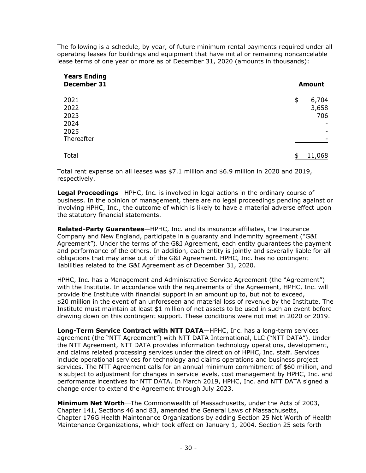The following is a schedule, by year, of future minimum rental payments required under all operating leases for buildings and equipment that have initial or remaining noncancelable lease terms of one year or more as of December 31, 2020 (amounts in thousands):

| <b>Years Ending</b><br>December 31                 | <b>Amount</b>                                                                       |
|----------------------------------------------------|-------------------------------------------------------------------------------------|
| 2021<br>2022<br>2023<br>2024<br>2025<br>Thereafter | 6,704<br>\$<br>3,658<br>706<br>$\overline{\phantom{0}}$<br>$\overline{\phantom{0}}$ |
| Total                                              | ,068<br>11                                                                          |

Total rent expense on all leases was \$7.1 million and \$6.9 million in 2020 and 2019, respectively.

**Legal Proceedings**—HPHC, Inc. is involved in legal actions in the ordinary course of business. In the opinion of management, there are no legal proceedings pending against or involving HPHC, Inc., the outcome of which is likely to have a material adverse effect upon the statutory financial statements.

**Related-Party Guarantees**—HPHC, Inc. and its insurance affiliates, the Insurance Company and New England, participate in a guaranty and indemnity agreement ("G&I Agreement"). Under the terms of the G&I Agreement, each entity guarantees the payment and performance of the others. In addition, each entity is jointly and severally liable for all obligations that may arise out of the G&I Agreement. HPHC, Inc. has no contingent liabilities related to the G&I Agreement as of December 31, 2020.

HPHC, Inc. has a Management and Administrative Service Agreement (the "Agreement") with the Institute. In accordance with the requirements of the Agreement, HPHC, Inc. will provide the Institute with financial support in an amount up to, but not to exceed, \$20 million in the event of an unforeseen and material loss of revenue by the Institute. The Institute must maintain at least \$1 million of net assets to be used in such an event before drawing down on this contingent support. These conditions were not met in 2020 or 2019.

**Long-Term Service Contract with NTT DATA**—HPHC, Inc. has a long-term services agreement (the "NTT Agreement") with NTT DATA International, LLC ("NTT DATA"). Under the NTT Agreement, NTT DATA provides information technology operations, development, and claims related processing services under the direction of HPHC, Inc. staff. Services include operational services for technology and claims operations and business project services. The NTT Agreement calls for an annual minimum commitment of \$60 million, and is subject to adjustment for changes in service levels, cost management by HPHC, Inc. and performance incentives for NTT DATA. In March 2019, HPHC, Inc. and NTT DATA signed a change order to extend the Agreement through July 2023.

**Minimum Net Worth**—The Commonwealth of Massachusetts, under the Acts of 2003, Chapter 141, Sections 46 and 83, amended the General Laws of Massachusetts, Chapter 176G Health Maintenance Organizations by adding Section 25 Net Worth of Health Maintenance Organizations, which took effect on January 1, 2004. Section 25 sets forth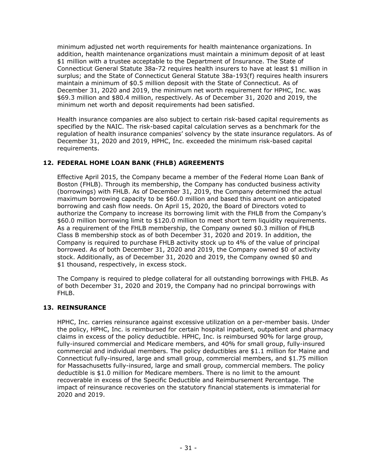minimum adjusted net worth requirements for health maintenance organizations. In addition, health maintenance organizations must maintain a minimum deposit of at least \$1 million with a trustee acceptable to the Department of Insurance. The State of Connecticut General Statute 38a-72 requires health insurers to have at least \$1 million in surplus; and the State of Connecticut General Statute 38a-193(f) requires health insurers maintain a minimum of \$0.5 million deposit with the State of Connecticut. As of December 31, 2020 and 2019, the minimum net worth requirement for HPHC, Inc. was \$69.3 million and \$80.4 million, respectively. As of December 31, 2020 and 2019, the minimum net worth and deposit requirements had been satisfied.

Health insurance companies are also subject to certain risk-based capital requirements as specified by the NAIC. The risk-based capital calculation serves as a benchmark for the regulation of health insurance companies' solvency by the state insurance regulators. As of December 31, 2020 and 2019, HPHC, Inc. exceeded the minimum risk-based capital requirements.

### **12. FEDERAL HOME LOAN BANK (FHLB) AGREEMENTS**

Effective April 2015, the Company became a member of the Federal Home Loan Bank of Boston (FHLB). Through its membership, the Company has conducted business activity (borrowings) with FHLB. As of December 31, 2019, the Company determined the actual maximum borrowing capacity to be \$60.0 million and based this amount on anticipated borrowing and cash flow needs. On April 15, 2020, the Board of Directors voted to authorize the Company to increase its borrowing limit with the FHLB from the Company's \$60.0 million borrowing limit to \$120.0 million to meet short term liquidity requirements. As a requirement of the FHLB membership, the Company owned \$0.3 million of FHLB Class B membership stock as of both December 31, 2020 and 2019. In addition, the Company is required to purchase FHLB activity stock up to 4% of the value of principal borrowed. As of both December 31, 2020 and 2019, the Company owned \$0 of activity stock. Additionally, as of December 31, 2020 and 2019, the Company owned \$0 and \$1 thousand, respectively, in excess stock.

The Company is required to pledge collateral for all outstanding borrowings with FHLB. As of both December 31, 2020 and 2019, the Company had no principal borrowings with FHLB.

#### **13. REINSURANCE**

HPHC, Inc. carries reinsurance against excessive utilization on a per-member basis. Under the policy, HPHC, Inc. is reimbursed for certain hospital inpatient, outpatient and pharmacy claims in excess of the policy deductible. HPHC, Inc. is reimbursed 90% for large group, fully-insured commercial and Medicare members, and 40% for small group, fully-insured commercial and individual members. The policy deductibles are \$1.1 million for Maine and Connecticut fully-insured, large and small group, commercial members, and \$1.75 million for Massachusetts fully-insured, large and small group, commercial members. The policy deductible is \$1.0 million for Medicare members. There is no limit to the amount recoverable in excess of the Specific Deductible and Reimbursement Percentage. The impact of reinsurance recoveries on the statutory financial statements is immaterial for 2020 and 2019.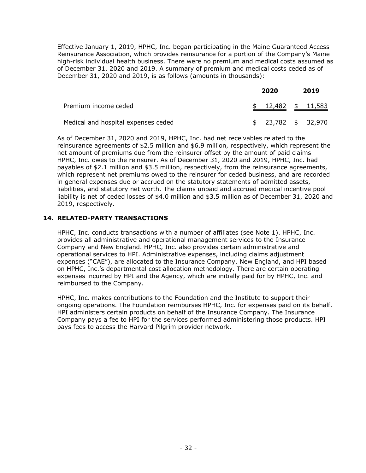Effective January 1, 2019, HPHC, Inc. began participating in the Maine Guaranteed Access Reinsurance Association, which provides reinsurance for a portion of the Company's Maine high-risk individual health business. There were no premium and medical costs assumed as of December 31, 2020 and 2019. A summary of premium and medical costs ceded as of December 31, 2020 and 2019, is as follows (amounts in thousands):

|                                     | 2020                    | 2019 |
|-------------------------------------|-------------------------|------|
| Premium income ceded                | $$12,482 \quad $11,583$ |      |
| Medical and hospital expenses ceded | $$23,782 \quad $32,970$ |      |

As of December 31, 2020 and 2019, HPHC, Inc. had net receivables related to the reinsurance agreements of \$2.5 million and \$6.9 million, respectively, which represent the net amount of premiums due from the reinsurer offset by the amount of paid claims HPHC, Inc. owes to the reinsurer. As of December 31, 2020 and 2019, HPHC, Inc. had payables of \$2.1 million and \$3.5 million, respectively, from the reinsurance agreements, which represent net premiums owed to the reinsurer for ceded business, and are recorded in general expenses due or accrued on the statutory statements of admitted assets, liabilities, and statutory net worth. The claims unpaid and accrued medical incentive pool liability is net of ceded losses of \$4.0 million and \$3.5 million as of December 31, 2020 and 2019, respectively.

### **14. RELATED-PARTY TRANSACTIONS**

HPHC, Inc. conducts transactions with a number of affiliates (see Note 1). HPHC, Inc. provides all administrative and operational management services to the Insurance Company and New England. HPHC, Inc. also provides certain administrative and operational services to HPI. Administrative expenses, including claims adjustment expenses ("CAE"), are allocated to the Insurance Company, New England, and HPI based on HPHC, Inc.'s departmental cost allocation methodology. There are certain operating expenses incurred by HPI and the Agency, which are initially paid for by HPHC, Inc. and reimbursed to the Company.

HPHC, Inc. makes contributions to the Foundation and the Institute to support their ongoing operations. The Foundation reimburses HPHC, Inc. for expenses paid on its behalf. HPI administers certain products on behalf of the Insurance Company. The Insurance Company pays a fee to HPI for the services performed administering those products. HPI pays fees to access the Harvard Pilgrim provider network.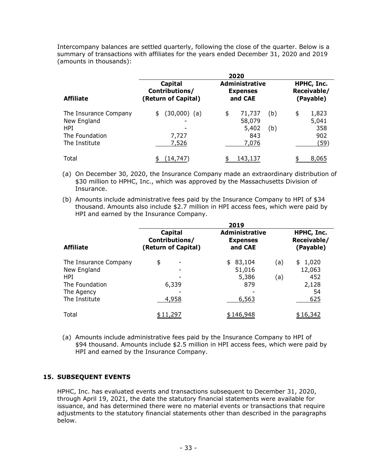Intercompany balances are settled quarterly, following the close of the quarter. Below is a summary of transactions with affiliates for the years ended December 31, 2020 and 2019 (amounts in thousands):

|                                                                                |                                                         | 2020                                                          |                                            |
|--------------------------------------------------------------------------------|---------------------------------------------------------|---------------------------------------------------------------|--------------------------------------------|
| <b>Affiliate</b>                                                               | <b>Capital</b><br>Contributions/<br>(Return of Capital) | <b>Administrative</b><br><b>Expenses</b><br>and CAE           | HPHC, Inc.<br>Receivable/<br>(Payable)     |
| The Insurance Company<br>New England<br>HPI<br>The Foundation<br>The Institute | $(30,000)$ (a)<br>\$<br>7,727<br>7,526                  | (b)<br>71,737<br>\$<br>58,079<br>5,402<br>(b)<br>843<br>7,076 | 1,823<br>\$<br>5,041<br>358<br>902<br>(59) |
| Total                                                                          | 14,747)<br>\$                                           | 143,137                                                       | 8,065                                      |

- (a) On December 30, 2020, the Insurance Company made an extraordinary distribution of \$30 million to HPHC, Inc., which was approved by the Massachusetts Division of Insurance.
- (b) Amounts include administrative fees paid by the Insurance Company to HPI of \$34 thousand. Amounts also include \$2.7 million in HPI access fees, which were paid by HPI and earned by the Insurance Company.

|                                                                                                     |                                                  | 2019                                                    |                                                    |
|-----------------------------------------------------------------------------------------------------|--------------------------------------------------|---------------------------------------------------------|----------------------------------------------------|
| <b>Affiliate</b>                                                                                    | Capital<br>Contributions/<br>(Return of Capital) | <b>Administrative</b><br><b>Expenses</b><br>and CAE     | HPHC, Inc.<br>Receivable/<br>(Payable)             |
| The Insurance Company<br>New England<br><b>HPI</b><br>The Foundation<br>The Agency<br>The Institute | \$<br>٠<br>6,339<br>4,958                        | (a)<br>83,104<br>51,016<br>5,386<br>(a)<br>879<br>6,563 | 1,020<br>\$<br>12,063<br>452<br>2,128<br>54<br>625 |
| Total                                                                                               | \$11,297                                         | \$146,948                                               | \$16,342                                           |

(a) Amounts include administrative fees paid by the Insurance Company to HPI of \$94 thousand. Amounts include \$2.5 million in HPI access fees, which were paid by HPI and earned by the Insurance Company.

### **15. SUBSEQUENT EVENTS**

HPHC, Inc. has evaluated events and transactions subsequent to December 31, 2020, through April 19, 2021, the date the statutory financial statements were available for issuance, and has determined there were no material events or transactions that require adjustments to the statutory financial statements other than described in the paragraphs below.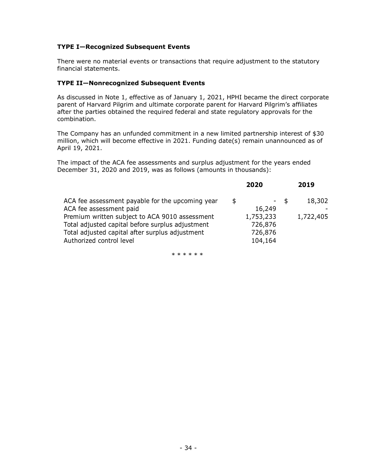### **TYPE I—Recognized Subsequent Events**

There were no material events or transactions that require adjustment to the statutory financial statements.

### **TYPE II—Nonrecognized Subsequent Events**

As discussed in Note 1, effective as of January 1, 2021, HPHI became the direct corporate parent of Harvard Pilgrim and ultimate corporate parent for Harvard Pilgrim's affiliates after the parties obtained the required federal and state regulatory approvals for the combination.

The Company has an unfunded commitment in a new limited partnership interest of \$30 million, which will become effective in 2021. Funding date(s) remain unannounced as of April 19, 2021.

The impact of the ACA fee assessments and surplus adjustment for the years ended December 31, 2020 and 2019, was as follows (amounts in thousands):

|                                                  | 2020      |      | 2019      |
|--------------------------------------------------|-----------|------|-----------|
| ACA fee assessment payable for the upcoming year | \$        | - \$ | 18,302    |
| ACA fee assessment paid                          | 16,249    |      |           |
| Premium written subject to ACA 9010 assessment   | 1,753,233 |      | 1,722,405 |
| Total adjusted capital before surplus adjustment | 726,876   |      |           |
| Total adjusted capital after surplus adjustment  | 726,876   |      |           |
| Authorized control level                         | 104,164   |      |           |
|                                                  |           |      |           |

\*\*\*\*\*\*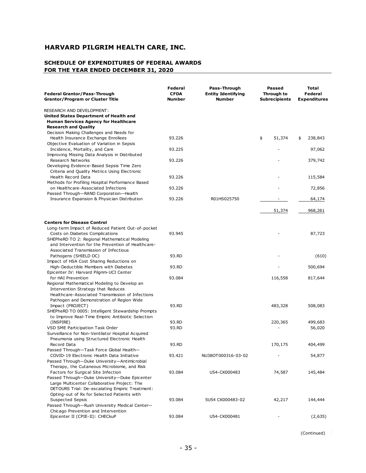#### **SCHEDULE OF EXPENDITURES OF FEDERAL AWARDS FOR THE YEAR ENDED DECEMBER 31, 2020**

| Federal Grantor/Pass-Through<br>Grantor/Program or Cluster Title                       | Federal<br><b>CFDA</b><br><b>Number</b> | Pass-Through<br><b>Entity Identifying</b><br><b>Number</b> | Passed<br>Through to<br><b>Subrecipients</b> | Total<br>Federal<br><b>Expenditures</b> |
|----------------------------------------------------------------------------------------|-----------------------------------------|------------------------------------------------------------|----------------------------------------------|-----------------------------------------|
| RESEARCH AND DEVELOPMENT:                                                              |                                         |                                                            |                                              |                                         |
| United States Department of Health and                                                 |                                         |                                                            |                                              |                                         |
| <b>Human Services Agency for Healthcare</b>                                            |                                         |                                                            |                                              |                                         |
| <b>Research and Quality</b>                                                            |                                         |                                                            |                                              |                                         |
| Decision Making Challenges and Needs for                                               |                                         |                                                            |                                              |                                         |
| Health Insurance Exchange Enrollees                                                    | 93.226                                  |                                                            | \$<br>51,374                                 | \$<br>238,843                           |
| Objective Evaluation of Variation in Sepsis                                            |                                         |                                                            |                                              |                                         |
| Incidence, Mortality, and Care                                                         | 93.225                                  |                                                            |                                              | 97,062                                  |
| Improving Missing Data Analysis in Distributed                                         |                                         |                                                            |                                              |                                         |
| Research Networks                                                                      | 93.226                                  |                                                            |                                              | 379,742                                 |
| Developing Evidence-Based Sepsis Time Zero                                             |                                         |                                                            |                                              |                                         |
| Criteria and Quality Metrics Using Electronic                                          |                                         |                                                            |                                              |                                         |
| Health Record Data                                                                     | 93.226                                  |                                                            |                                              | 115,584                                 |
| Methods for Profiling Hospital Performance Based                                       |                                         |                                                            |                                              |                                         |
| on Healthcare-Associated Infections                                                    | 93.226                                  |                                                            |                                              | 72,856                                  |
| Passed Through-RAND Corporation-Health<br>Insurance Expansion & Physician Distribution | 93.226                                  | R01HS025750                                                |                                              |                                         |
|                                                                                        |                                         |                                                            |                                              | 64,174                                  |
|                                                                                        |                                         |                                                            | 51,374                                       | 968,261                                 |
| <b>Centers for Disease Control</b>                                                     |                                         |                                                            |                                              |                                         |
| Long-term Impact of Reduced Patient Out-of-pocket                                      |                                         |                                                            |                                              |                                         |
| Costs on Diabetes Complications                                                        | 93.945                                  |                                                            |                                              | 87,723                                  |
| SHEPheRD TO 2: Regional Mathematical Modeling                                          |                                         |                                                            |                                              |                                         |
| and Intervention for the Prevention of Healthcare-                                     |                                         |                                                            |                                              |                                         |
| Associated Transmission of Infectious                                                  |                                         |                                                            |                                              |                                         |
| Pathogens (SHIELD OC)                                                                  | 93.RD                                   |                                                            |                                              | (610)                                   |
| Impact of HSA Cost Sharing Reductions on                                               |                                         |                                                            |                                              |                                         |
| High-Deductible Members with Diabetes                                                  | 93.RD                                   |                                                            |                                              | 500,694                                 |
| Epicenter IV: Harvard Pilgrim-UCI Center<br>for HAI Prevention                         | 93.084                                  |                                                            | 116,558                                      | 817,644                                 |
| Regional Mathematical Modeling to Develop an                                           |                                         |                                                            |                                              |                                         |
| Intervention Strategy that Reduces                                                     |                                         |                                                            |                                              |                                         |
| Healthcare-Associated Transmission of Infections                                       |                                         |                                                            |                                              |                                         |
| Pathogen and Demonstration of Region Wide                                              |                                         |                                                            |                                              |                                         |
| Impact (PROJECT)                                                                       | 93.RD                                   |                                                            | 483,328                                      | 508,083                                 |
| SHEPheRD TO 0005: Intelligent Stewardship Prompts                                      |                                         |                                                            |                                              |                                         |
| to Improve Real-Time Empiric Antibiotic Selection                                      |                                         |                                                            |                                              |                                         |
| (INSPIRE)                                                                              | 93.RD                                   |                                                            | 220,365                                      | 499,683                                 |
| VSD SME Participation Task Order                                                       | 93.RD                                   |                                                            |                                              | 56,020                                  |
| Surveillance for Non-Ventilator Hospital Acquired                                      |                                         |                                                            |                                              |                                         |
| Pneumonia using Structured Electronic Health                                           |                                         |                                                            |                                              |                                         |
| Record Data                                                                            | 93.RD                                   |                                                            | 170,175                                      | 404,499                                 |
| Passed Through-Task Force Global Health-                                               |                                         |                                                            |                                              |                                         |
| COVID-19 Electronic Health Data Initiative                                             | 93.421                                  | NU38OT000316-03-02                                         | $\overline{\phantom{a}}$                     | 54,877                                  |
| Passed Through-Duke University-Antimicrobial                                           |                                         |                                                            |                                              |                                         |
| Therapy, the Cutaneous Microbiome, and Risk                                            |                                         |                                                            |                                              |                                         |
| Factors for Surgical Site Infection                                                    | 93.084                                  | U54-CK000483                                               | 74,587                                       | 145,484                                 |
| Passed Through-Duke University-Duke Epicenter                                          |                                         |                                                            |                                              |                                         |
| Large Multicenter Collaborative Project: The                                           |                                         |                                                            |                                              |                                         |
| DETOURS Trial: De-escalating Empiric Treatment:                                        |                                         |                                                            |                                              |                                         |
| Opting-out of Rx for Selected Patients with                                            |                                         |                                                            |                                              |                                         |
| Suspected Sepsis                                                                       | 93.084                                  | 5U54 CK000483-02                                           | 42,217                                       | 144,444                                 |
| Passed Through-Rush University Medical Center-<br>Chicago Prevention and Intervention  |                                         |                                                            |                                              |                                         |
| Epicenter II (CPIE-II): CHECkuP                                                        | 93.084                                  | U54-CK000481                                               |                                              | (2,635)                                 |
|                                                                                        |                                         |                                                            |                                              |                                         |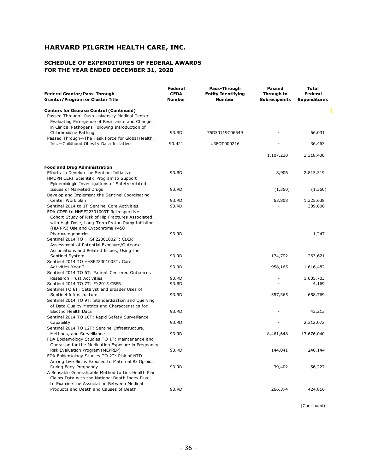#### **SCHEDULE OF EXPENDITURES OF FEDERAL AWARDS FOR THE YEAR ENDED DECEMBER 31, 2020**

| <b>Federal Grantor/Pass-Through</b><br><b>Grantor/Program or Cluster Title</b>                                                                                                                                                     | Federal<br><b>CFDA</b><br><b>Number</b> | Pass-Through<br><b>Entity Identifying</b><br><b>Number</b> | <b>Passed</b><br>Through to<br><b>Subrecipients</b> | <b>Total</b><br>Federal<br><b>Expenditures</b> |
|------------------------------------------------------------------------------------------------------------------------------------------------------------------------------------------------------------------------------------|-----------------------------------------|------------------------------------------------------------|-----------------------------------------------------|------------------------------------------------|
| <b>Centers for Disease Control (Continued)</b><br>Passed Through-Rush University Medical Center-<br>Evaluating Emergence of Resistance and Changes<br>in Clinical Pathogens Following Introduction of                              |                                         |                                                            |                                                     |                                                |
| Chlorhexidine Bathing<br>Passed Through-The Task Force for Global Health,                                                                                                                                                          | 93.RD                                   | 75D30119C06549                                             |                                                     | 66,031                                         |
| Inc.-Childhood Obesity Data Initiative                                                                                                                                                                                             | 93.421                                  | U38OT000216                                                |                                                     | 36,463                                         |
|                                                                                                                                                                                                                                    |                                         |                                                            | 1,107,230                                           | 3,318,400                                      |
| <b>Food and Drug Administration</b>                                                                                                                                                                                                |                                         |                                                            |                                                     |                                                |
| Efforts to Develop the Sentinel Initiative<br>HMORN CERT Scientific Program to Support<br>Epidemiologic Investigations of Safety-related                                                                                           | 93.RD                                   |                                                            | 8,906                                               | 2,815,319                                      |
| Issues of Marketed Drugs<br>Develop and Implement the Sentinel Coordinating                                                                                                                                                        | 93.RD                                   |                                                            | (1,350)                                             | (1,350)                                        |
| Center Work plan                                                                                                                                                                                                                   | 93.RD                                   |                                                            | 63,808                                              | 1,325,638                                      |
| Sentinel 2014 to 1T Sentinel Core Activities<br>FDA CDER to HHSF22301009T Retrospective<br>Cohort Study of Risk of Hip Fractures Associated<br>with High Dose, Long-Term Proton Pump Inhibitor<br>(HD-PPI) Use and Cytochrome P450 | 93.RD                                   |                                                            |                                                     | 389,806                                        |
| Pharmacogenomics<br>Sentinel 2014 TO HHSF22301002T: CDER<br>Assessment of Potential Exposure/Outcome<br>Associations and Related Issues, Using the                                                                                 | 93.RD                                   |                                                            |                                                     | 1,247                                          |
| Sentinel System<br>Sentinel 2014 TO HHSF22301003T: Core                                                                                                                                                                            | 93.RD                                   |                                                            | 174,792                                             | 263,621                                        |
| <b>Activities Year 2</b><br>Sentinel 2014 TO 6T: Patient Centered Outcomes                                                                                                                                                         | 93.RD                                   |                                                            | 958,165                                             | 1,616,482                                      |
| Research Trust Activities                                                                                                                                                                                                          | 93.RD                                   |                                                            |                                                     | 1,005,703                                      |
| Sentinel 2014 TO 7T: FY2015 CBER<br>Sentinel TO 8T: Catalyst and Broader Uses of                                                                                                                                                   | 93.RD                                   |                                                            |                                                     | 4,169                                          |
| Sentinel Infrastructure<br>Sentinel 2014 TO 9T: Standardization and Querying<br>of Data Quality Metrics and Characteristics for                                                                                                    | 93.RD                                   |                                                            | 357,365                                             | 658,769                                        |
| Electric Health Data<br>Sentinel 2014 TO 10T: Rapid Safety Surveillance                                                                                                                                                            | 93.RD                                   |                                                            |                                                     | 43,213                                         |
| Capability<br>Sentinel 2014 TO 12T: Sentinel Infrastructure,                                                                                                                                                                       | 93.RD                                   |                                                            | $\overline{a}$                                      | 2,312,072                                      |
| Methods, and Surveillance<br>FDA Epidemiology Studies TO 1T: Maintenance and<br>Operation for the Medication Exposure in Pregnancy                                                                                                 | 93.RD                                   |                                                            | 8,461,648                                           | 17,676,040                                     |
| Risk Evaluation Program (MEPREP)<br>FDA Epidemiology Studies TO 2T: Risk of NTD<br>Among Live Births Exposed to Maternal Rx Opioids                                                                                                | 93.RD                                   |                                                            | 144,041                                             | 240,144                                        |
| During Early Pregnancy<br>A Reusable Generalizable Method to Link Health Plan<br>Claims Data with the National Death Index Plus<br>to Examine the Association Between Medical                                                      | 93.RD                                   |                                                            | 39,402                                              | 56,227                                         |
| Products and Death and Causes of Death                                                                                                                                                                                             | 93.RD                                   |                                                            | 266,374                                             | 424,816                                        |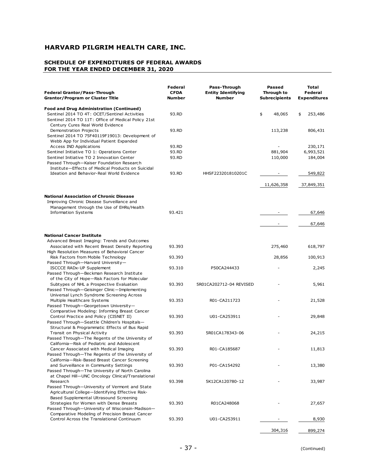#### **SCHEDULE OF EXPENDITURES OF FEDERAL AWARDS FOR THE YEAR ENDED DECEMBER 31, 2020**

| <b>Federal Grantor/Pass-Through</b><br><b>Grantor/Program or Cluster Title</b>                                 | Federal<br><b>CFDA</b><br>Number | Pass-Through<br><b>Entity Identifying</b><br><b>Number</b> | Passed<br>Through to<br><b>Subrecipients</b> | Total<br>Federal<br><b>Expenditures</b> |
|----------------------------------------------------------------------------------------------------------------|----------------------------------|------------------------------------------------------------|----------------------------------------------|-----------------------------------------|
| <b>Food and Drug Administration (Continued)</b>                                                                |                                  |                                                            |                                              |                                         |
| Sentinel 2014 TO 4T: OCET/Sentinel Activities<br>Sentinel 2014 TO 11T: Office of Medical Policy 21st           | 93.RD                            |                                                            | \$<br>48,065                                 | 253,486<br>\$                           |
| Century Cures Real World Evidence<br>Demonstration Projects<br>Sentinel 2014 TO 75F40119F19013: Development of | 93.RD                            |                                                            | 113,238                                      | 806,431                                 |
| Webb App for Individual Patient Expanded                                                                       |                                  |                                                            |                                              |                                         |
| Access IND Applications<br>Sentinel Initiative TO 1: Operations Center                                         | 93.RD<br>93.RD                   |                                                            | 881,904                                      | 230,171<br>6,993,521                    |
| Sentinel Initiative TO 2 Innovation Center                                                                     | 93.RD                            |                                                            | 110,000                                      | 184,004                                 |
| Passed Through-Kaiser Foundation Research<br>Institute-Effects of Medical Products on Suicidal                 |                                  |                                                            |                                              |                                         |
| Ideation and Behavior-Real World Evidence                                                                      | 93.RD                            | HHSF223201810201C                                          | $\blacksquare$                               | 549,822                                 |
|                                                                                                                |                                  |                                                            | 11,626,358                                   | 37,849,351                              |
| <b>National Association of Chronic Disease</b>                                                                 |                                  |                                                            |                                              |                                         |
| Improving Chronic Disease Surveillance and                                                                     |                                  |                                                            |                                              |                                         |
| Management through the Use of EHRs/Health<br>Information Systems                                               | 93.421                           |                                                            |                                              | 67,646                                  |
|                                                                                                                |                                  |                                                            |                                              | 67,646                                  |
| <b>National Cancer Institute</b>                                                                               |                                  |                                                            |                                              |                                         |
| Advanced Breast Imaging: Trends and Outcomes                                                                   |                                  |                                                            |                                              |                                         |
| Associated with Recent Breast Density Reporting<br>High Resolution Measures of Behavioral Cancer               | 93.393                           |                                                            | 275,460                                      | 618,797                                 |
| Risk Factors from Mobile Technology                                                                            | 93.393                           |                                                            | 28,856                                       | 100,913                                 |
| Passed Through-Harvard University-                                                                             |                                  |                                                            |                                              |                                         |
| ISCCCE RADx-UP Supplement                                                                                      | 93.310                           | P50CA244433                                                |                                              | 2,245                                   |
| Passed Through-Beckman Research Institute                                                                      |                                  |                                                            |                                              |                                         |
| of the City of Hope-Risk Factors for Molecular                                                                 |                                  |                                                            |                                              |                                         |
| Subtypes of NHL a Prospective Evaluation<br>Passed Through-Geisinger Clinic-Implementing                       | 93.393                           | 5R01CA202712-04 REVISED                                    |                                              | 5,961                                   |
| Universal Lynch Syndrome Screening Across                                                                      |                                  |                                                            |                                              |                                         |
| Multiple Healthcare Systems                                                                                    | 93.353                           | R01-CA211723                                               |                                              | 21,528                                  |
| Passed Through-Georgetown University-                                                                          |                                  |                                                            |                                              |                                         |
| Comparative Modeling: Informing Breast Cancer                                                                  |                                  |                                                            |                                              |                                         |
| Control Practice and Policy (CISNET II)                                                                        | 93.393                           | U01-CA253911                                               |                                              | 29,848                                  |
| Passed Through-Seattle Children's Hospitals-<br>Structural & Programmatic Effects of Bus Rapid                 |                                  |                                                            |                                              |                                         |
| Transit on Physical Activity                                                                                   | 93.393                           | 5R01CA178343-06                                            |                                              | 24,215                                  |
| Passed Through-The Regents of the University of                                                                |                                  |                                                            |                                              |                                         |
| California-Risk of Pediatric and Adolescent                                                                    |                                  |                                                            |                                              |                                         |
| Cancer Associated with Medical Imaging                                                                         | 93.393                           | R01-CA185687                                               |                                              | 11,813                                  |
| Passed Through-The Regents of the University of                                                                |                                  |                                                            |                                              |                                         |
| California-Risk-Based Breast Cancer Screening<br>and Surveillance in Community Settings                        | 93.393                           | P01-CA154292                                               |                                              | 13,380                                  |
| Passed Through-The University of North Carolina<br>at Chapel Hill-UNC Oncology Clinical/Translational          |                                  |                                                            |                                              |                                         |
| Research                                                                                                       | 93.398                           | 5K12CA120780-12                                            |                                              | 33,987                                  |
| Passed Through-University of Vermont and State                                                                 |                                  |                                                            |                                              |                                         |
| Agricultural College-Identifying Effective Risk-                                                               |                                  |                                                            |                                              |                                         |
| Based Supplemental Ultrasound Screening                                                                        |                                  |                                                            |                                              |                                         |
| Strategies for Women with Dense Breasts                                                                        | 93.393                           | R01CA248068                                                |                                              | 27,657                                  |
| Passed Through-University of Wisconsin-Madison-<br>Comparative Modeling of Precision Breast Cancer             |                                  |                                                            |                                              |                                         |
| Control Across the Translational Continuum                                                                     | 93.393                           | U01-CA253911                                               |                                              | 8,930                                   |
|                                                                                                                |                                  |                                                            | 304,316                                      | 899,274                                 |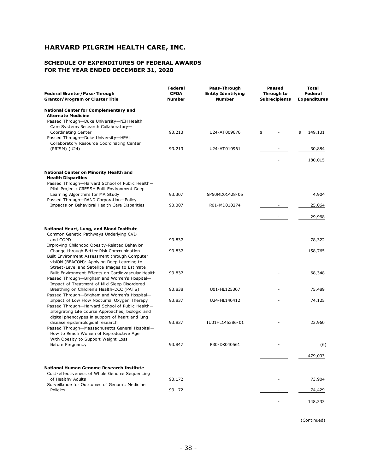#### **SCHEDULE OF EXPENDITURES OF FEDERAL AWARDS FOR THE YEAR ENDED DECEMBER 31, 2020**

| <b>Federal Grantor/Pass-Through</b><br><b>Grantor/Program or Cluster Title</b>                                                                                                                        | Federal<br><b>CFDA</b><br><b>Number</b> | Pass-Through<br><b>Entity Identifying</b><br><b>Number</b> | Passed<br>Through to<br><b>Subrecipients</b> | Total<br>Federal<br><b>Expenditures</b> |
|-------------------------------------------------------------------------------------------------------------------------------------------------------------------------------------------------------|-----------------------------------------|------------------------------------------------------------|----------------------------------------------|-----------------------------------------|
| <b>National Center for Complementary and</b>                                                                                                                                                          |                                         |                                                            |                                              |                                         |
| <b>Alternate Medicine</b><br>Passed Through-Duke University-NIH Health<br>Care Systems Research Collaboratory-                                                                                        |                                         |                                                            |                                              |                                         |
| Coordinating Center<br>Passed Through-Duke University-HEAL<br>Collaboratory Resource Coordinating Center                                                                                              | 93.213                                  | U24-AT009676                                               | \$                                           | \$<br>149,131                           |
| (PRISM) (U24)                                                                                                                                                                                         | 93.213                                  | U24-AT010961                                               |                                              | 30,884                                  |
|                                                                                                                                                                                                       |                                         |                                                            |                                              | 180,015                                 |
| National Center on Minority Health and<br><b>Health Disparities</b><br>Passed Through-Harvard School of Public Health-                                                                                |                                         |                                                            |                                              |                                         |
| Pilot Project: CRESSH Built Environment Deep                                                                                                                                                          |                                         |                                                            |                                              |                                         |
| Learning Algorithms for MA Study<br>Passed Through-RAND Corporation-Policy                                                                                                                            | 93.307                                  | 5P50MD01428-05                                             |                                              | 4,904                                   |
| Impacts on Behavioral Health Care Disparities                                                                                                                                                         | 93.307                                  | R01-MD010274                                               |                                              | 25,064                                  |
|                                                                                                                                                                                                       |                                         |                                                            | $\overline{\phantom{a}}$                     | 29,968                                  |
| National Heart, Lung, and Blood Institute                                                                                                                                                             |                                         |                                                            |                                              |                                         |
| Common Genetic Pathways Underlying CVD<br>and COPD<br>Improving Childhood Obesity-Related Behavior                                                                                                    | 93.837                                  |                                                            |                                              | 78,322                                  |
| Change through Better Risk Communication<br>Built Environment Assessment through Computer<br>visiON (BEACON): Applying Deep Learning to                                                               | 93.837                                  |                                                            |                                              | 158,765                                 |
| Street-Level and Satellite Images to Estimate<br>Built Environment Effects on Cardiovascular Health<br>Passed Through-Brigham and Women's Hospital-                                                   | 93.837                                  |                                                            |                                              | 68,348                                  |
| Impact of Treatment of Mild Sleep Disordered<br>Breathing on Children's Health-DCC (PATS)<br>Passed Through-Brigham and Women's Hospital-                                                             | 93.838                                  | U01-HL125307                                               |                                              | 75,489                                  |
| Impact of Low Flow Nocturnal Oxygen Therapy<br>Passed Through-Harvard School of Public Health-<br>Integrating Life course Approaches, biologic and<br>digital phenotypes in support of heart and lung | 93.837                                  | U24-HL140412                                               |                                              | 74,125                                  |
| disease epidemiological research<br>Passed Through-Massachusetts General Hospital-<br>How to Reach Women of Reproductive Age<br>With Obesity to Support Weight Loss                                   | 93.837                                  | 1U01HL145386-01                                            |                                              | 23,960                                  |
| Before Pregnancy                                                                                                                                                                                      | 93.847                                  | P30-DK040561                                               |                                              | (6)                                     |
|                                                                                                                                                                                                       |                                         |                                                            |                                              | 479,003                                 |
| National Human Genome Research Institute                                                                                                                                                              |                                         |                                                            |                                              |                                         |
| Cost-effectiveness of Whole Genome Sequencing<br>of Healthy Adults                                                                                                                                    | 93.172                                  |                                                            |                                              | 73,904                                  |
| Surveillance for Outcomes of Genomic Medicine<br><b>Policies</b>                                                                                                                                      | 93.172                                  |                                                            |                                              | 74,429                                  |
|                                                                                                                                                                                                       |                                         |                                                            |                                              | 148,333                                 |
|                                                                                                                                                                                                       |                                         |                                                            |                                              |                                         |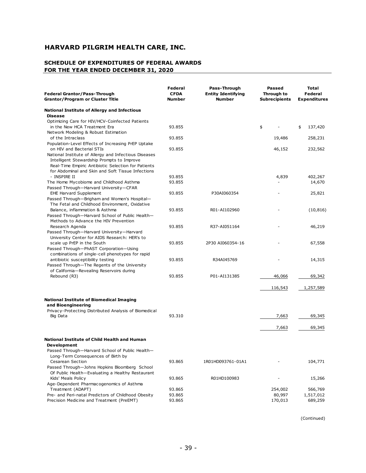#### **SCHEDULE OF EXPENDITURES OF FEDERAL AWARDS FOR THE YEAR ENDED DECEMBER 31, 2020**

| Federal Grantor/Pass-Through<br>Grantor/Program or Cluster Title      | Federal<br><b>CFDA</b><br><b>Number</b> | Pass-Through<br><b>Entity Identifying</b><br><b>Number</b> | Passed<br>Through to<br><b>Subrecipients</b> | Total<br>Federal<br><b>Expenditures</b> |
|-----------------------------------------------------------------------|-----------------------------------------|------------------------------------------------------------|----------------------------------------------|-----------------------------------------|
| <b>National Institute of Allergy and Infectious</b>                   |                                         |                                                            |                                              |                                         |
| <b>Disease</b>                                                        |                                         |                                                            |                                              |                                         |
| Optimizing Care for HIV/HCV-Coinfected Patients                       |                                         |                                                            |                                              |                                         |
| in the New HCA Treatment Era                                          | 93.855                                  |                                                            | \$                                           | \$<br>137,420                           |
| Network Modeling & Robust Estimation                                  |                                         |                                                            |                                              |                                         |
| of the Intraclass                                                     | 93.855                                  |                                                            | 19,486                                       | 258,231                                 |
| Population-Level Effects of Increasing PrEP Uptake                    |                                         |                                                            |                                              |                                         |
| on HIV and Bacterial STIs                                             | 93.855                                  |                                                            | 46,152                                       | 232,562                                 |
| National Institute of Allergy and Infectious Diseases                 |                                         |                                                            |                                              |                                         |
| Intelligent Stewardship Prompts to Improve                            |                                         |                                                            |                                              |                                         |
| Real-Time Empiric Antibiotic Selection for Patients                   |                                         |                                                            |                                              |                                         |
| for Abdominal and Skin and Soft Tissue Infections                     |                                         |                                                            |                                              |                                         |
| - INSPIRE II                                                          | 93.855                                  |                                                            | 4,839                                        | 402,267                                 |
| The Home Mycobiome and Childhood Asthma                               | 93.855                                  |                                                            |                                              | 14,670                                  |
| Passed Through-Harvard University-CFAR<br>EHE Harvard Supplement      | 93.855                                  | P30AI060354                                                |                                              | 25,821                                  |
| Passed Through-Brigham and Women's Hospital-                          |                                         |                                                            |                                              |                                         |
| The Fetal and Childhood Environment, Oxidative                        |                                         |                                                            |                                              |                                         |
| Balance, inflammation & Asthma                                        | 93.855                                  | R01-AI102960                                               |                                              | (10, 816)                               |
| Passed Through-Harvard School of Public Health-                       |                                         |                                                            |                                              |                                         |
| Methods to Advance the HIV Prevention                                 |                                         |                                                            |                                              |                                         |
| Research Agenda                                                       | 93.855                                  | R37-AI051164                                               |                                              | 46,219                                  |
| Passed Through-Harvard University-Harvard                             |                                         |                                                            |                                              |                                         |
| University Center for AIDS Research: HER's to                         |                                         |                                                            |                                              |                                         |
| scale up PrEP in the South                                            | 93.855                                  | 2P30 AI060354-16                                           |                                              | 67,558                                  |
| Passed Through-PhAST Corporation-Using                                |                                         |                                                            |                                              |                                         |
| combinations of single-cell phenotypes for rapid                      |                                         |                                                            |                                              |                                         |
| antibiotic susceptibility testing                                     | 93.855                                  | R34AI45769                                                 |                                              | 14,315                                  |
| Passed Through-The Regents of the University                          |                                         |                                                            |                                              |                                         |
| of California-Revealing Reservoirs during                             |                                         |                                                            |                                              |                                         |
| Rebound (R3)                                                          | 93.855                                  | P01-AI131385                                               | 46,066                                       | 69,342                                  |
|                                                                       |                                         |                                                            |                                              |                                         |
|                                                                       |                                         |                                                            | 116,543                                      | 1,257,589                               |
|                                                                       |                                         |                                                            |                                              |                                         |
| <b>National Institute of Biomedical Imaging</b><br>and Bioengineering |                                         |                                                            |                                              |                                         |
| Privacy-Protecting Distributed Analysis of Biomedical                 |                                         |                                                            |                                              |                                         |
| Big Data                                                              | 93.310                                  |                                                            | 7,663                                        | 69,345                                  |
|                                                                       |                                         |                                                            |                                              |                                         |
|                                                                       |                                         |                                                            | 7,663                                        | 69,345                                  |
|                                                                       |                                         |                                                            |                                              |                                         |
| National Institute of Child Health and Human                          |                                         |                                                            |                                              |                                         |
| <b>Development</b>                                                    |                                         |                                                            |                                              |                                         |
| Passed Through-Harvard School of Public Health-                       |                                         |                                                            |                                              |                                         |
| Long-Term Consequences of Birth by                                    |                                         |                                                            |                                              |                                         |
| Cesarean Section                                                      | 93.865                                  | 1R01HD093761-01A1                                          |                                              | 104,771                                 |
| Passed Through-Johns Hopkins Bloomberg School                         |                                         |                                                            |                                              |                                         |
| Of Public Health-Evaluating a Healthy Restaurant                      |                                         |                                                            |                                              |                                         |
| Kids' Meals Policy                                                    | 93.865                                  | R01HD100983                                                |                                              | 15,266                                  |
| Age-Dependent Pharmacogenomics of Asthma                              |                                         |                                                            |                                              |                                         |
| Treatment (ADAPT)                                                     | 93.865                                  |                                                            | 254,002                                      | 566,769                                 |
| Pre- and Peri-natal Predictors of Childhood Obesity                   | 93.865                                  |                                                            | 80,997                                       | 1,517,012                               |
| Precision Medicine and Treatment (PreEMT)                             | 93.865                                  |                                                            | 170,013                                      | 689,259                                 |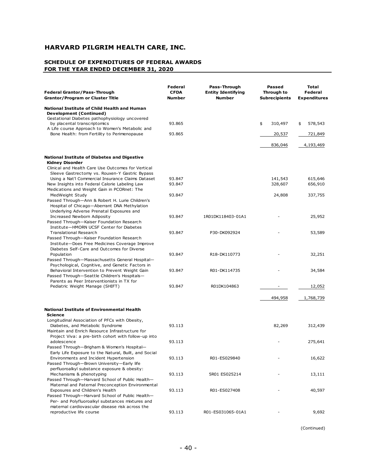#### **SCHEDULE OF EXPENDITURES OF FEDERAL AWARDS FOR THE YEAR ENDED DECEMBER 31, 2020**

| <b>Federal Grantor/Pass-Through</b><br><b>Grantor/Program or Cluster Title</b>             | Federal<br><b>CFDA</b><br><b>Number</b> | Pass-Through<br><b>Entity Identifying</b><br><b>Number</b> | Passed<br>Through to<br><b>Subrecipients</b> | <b>Total</b><br>Federal<br><b>Expenditures</b> |
|--------------------------------------------------------------------------------------------|-----------------------------------------|------------------------------------------------------------|----------------------------------------------|------------------------------------------------|
| <b>National Institute of Child Health and Human</b>                                        |                                         |                                                            |                                              |                                                |
| <b>Development (Continued)</b>                                                             |                                         |                                                            |                                              |                                                |
| Gestational Diabetes pathophysiology uncovered<br>by placental transcriptomics             | 93.865                                  |                                                            | 310,497<br>\$                                | 578,543<br>\$                                  |
| A Life course Approach to Women's Metabolic and                                            |                                         |                                                            |                                              |                                                |
| Bone Health: from Fertility to Perimenopause                                               | 93.865                                  |                                                            | 20,537                                       | 721,849                                        |
|                                                                                            |                                         |                                                            |                                              |                                                |
|                                                                                            |                                         |                                                            | 836,046                                      | 4,193,469                                      |
| <b>National Institute of Diabetes and Digestive</b>                                        |                                         |                                                            |                                              |                                                |
| <b>Kidney Disorder</b>                                                                     |                                         |                                                            |                                              |                                                |
| Clinical and Health Care Use Outcomes for Vertical                                         |                                         |                                                            |                                              |                                                |
| Sleeve Gastrectomy vs. Rouxen-Y Gastric Bypass                                             |                                         |                                                            |                                              |                                                |
| Using a Nat'l Commercial Insurance Claims Dataset                                          | 93.847                                  |                                                            | 141,543                                      | 615,646                                        |
| New Insights into Federal Calorie Labeling Law                                             | 93.847                                  |                                                            | 328,607                                      | 656,910                                        |
| Medications and Weight Gain in PCORnet: The                                                | 93.847                                  |                                                            |                                              |                                                |
| MedWeight Study<br>Passed Through-Ann & Robert H. Lurie Children's                         |                                         |                                                            | 24,808                                       | 337,755                                        |
| Hospital of Chicago-Aberrant DNA Methylation                                               |                                         |                                                            |                                              |                                                |
| Underlying Adverse Prenatal Exposures and                                                  |                                         |                                                            |                                              |                                                |
| Increased Newborn Adiposity                                                                | 93.847                                  | 1R01DK118403-01A1                                          |                                              | 25,952                                         |
| Passed Through-Kaiser Foundation Research                                                  |                                         |                                                            |                                              |                                                |
| Institute-HMORN UCSF Center for Diabetes                                                   |                                         |                                                            |                                              |                                                |
| <b>Translational Research</b>                                                              | 93.847                                  | P30-DK092924                                               |                                              | 53,589                                         |
| Passed Through-Kaiser Foundation Research                                                  |                                         |                                                            |                                              |                                                |
| Institute-Does Free Medicines Coverage Improve                                             |                                         |                                                            |                                              |                                                |
| Diabetes Self-Care and Outcomes for Diverse<br>Population                                  | 93.847                                  | R18-DK110773                                               |                                              | 32,251                                         |
| Passed Through-Massachusetts General Hospital-                                             |                                         |                                                            |                                              |                                                |
| Psychological, Cognitive, and Genetic Factors in                                           |                                         |                                                            |                                              |                                                |
| Behavioral Intervention to Prevent Weight Gain                                             | 93.847                                  | R01-DK114735                                               |                                              | 34,584                                         |
| Passed Through-Seattle Children's Hospitals-                                               |                                         |                                                            |                                              |                                                |
| Parents as Peer Interventionists in TX for                                                 |                                         |                                                            |                                              |                                                |
| Pediatric Weight Manage (SHIFT)                                                            | 93.847                                  | R01DK104863                                                |                                              | 12,052                                         |
|                                                                                            |                                         |                                                            | 494,958                                      | 1,768,739                                      |
|                                                                                            |                                         |                                                            |                                              |                                                |
| <b>National Institute of Environmental Health</b><br><b>Science</b>                        |                                         |                                                            |                                              |                                                |
| Longitudinal Association of PFCs with Obesity,                                             |                                         |                                                            |                                              |                                                |
| Diabetes, and Metabolic Syndrome                                                           | 93.113                                  |                                                            | 82,269                                       | 312,439                                        |
| Maintain and Enrich Resource Infrastructure for                                            |                                         |                                                            |                                              |                                                |
| Project Viva: a pre-birth cohort with follow-up into                                       |                                         |                                                            |                                              |                                                |
| adolescence                                                                                | 93.113                                  |                                                            |                                              | 275,641                                        |
| Passed Through-Brigham & Women's Hospital-                                                 |                                         |                                                            |                                              |                                                |
| Early Life Exposure to the Natural, Built, and Social                                      |                                         |                                                            |                                              |                                                |
| Environments and Incident Hypertension                                                     | 93.113                                  | R01-ES029840                                               |                                              | 16,622                                         |
| Passed Through-Brown University-Early life<br>perfluoroalkyl substance exposure & obesity: |                                         |                                                            |                                              |                                                |
| Mechanisms & phenotyping                                                                   | 93.113                                  | 5R01 ES025214                                              |                                              | 13,111                                         |
| Passed Through-Harvard School of Public Health-                                            |                                         |                                                            |                                              |                                                |
| Maternal and Paternal Preconception Environmental                                          |                                         |                                                            |                                              |                                                |
| Exposures and Children's Health                                                            | 93.113                                  | R01-ES027408                                               |                                              | 40,597                                         |
| Passed Through-Harvard School of Public Health-                                            |                                         |                                                            |                                              |                                                |
| Per- and Polyfluoroalkyl substances mixtures and                                           |                                         |                                                            |                                              |                                                |
| maternal cardiovascular disease risk across the                                            |                                         |                                                            |                                              |                                                |
| reproductive life course                                                                   | 93.113                                  | R01-ES031065-01A1                                          |                                              | 9,692                                          |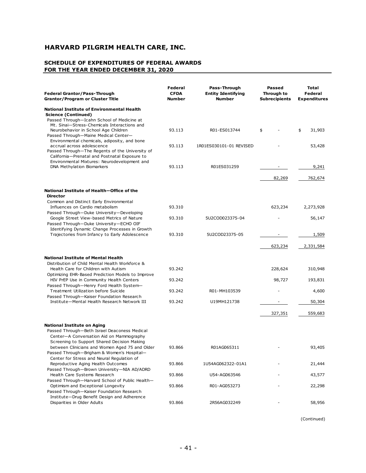#### **SCHEDULE OF EXPENDITURES OF FEDERAL AWARDS FOR THE YEAR ENDED DECEMBER 31, 2020**

| <b>Federal Grantor/Pass-Through</b><br><b>Grantor/Program or Cluster Title</b>                                                                                                                                                 | Federal<br><b>CFDA</b><br><b>Number</b> | Pass-Through<br><b>Entity Identifying</b><br><b>Number</b> | Passed<br>Through to<br><b>Subrecipients</b> | Total<br>Federal<br><b>Expenditures</b> |
|--------------------------------------------------------------------------------------------------------------------------------------------------------------------------------------------------------------------------------|-----------------------------------------|------------------------------------------------------------|----------------------------------------------|-----------------------------------------|
| <b>National Institute of Environmental Health</b>                                                                                                                                                                              |                                         |                                                            |                                              |                                         |
| <b>Science (Continued)</b><br>Passed Through-Icahn School of Medicine at<br>Mt. Sinai-Stress-Chemicals Interactions and<br>Neurobehavior in School Age Children<br>Passed Through-Maine Medical Center-                        | 93.113                                  | R01-ES013744                                               | \$                                           | \$<br>31,903                            |
| Environmental chemicals, adiposity, and bone<br>accrual across adolescence<br>Passed Through-The Regents of the University of<br>California-Prenatal and Postnatal Exposure to<br>Environmental Mixtures: Neurodevelopment and | 93.113                                  | 1R01ES030101-01 REVISED                                    |                                              | 53,428                                  |
| DNA Methylation Biomarkers                                                                                                                                                                                                     | 93.113                                  | R01ES031259                                                |                                              | 9,241                                   |
|                                                                                                                                                                                                                                |                                         |                                                            | 82,269                                       | 762,674                                 |
| National Institute of Health-Office of the<br><b>Director</b>                                                                                                                                                                  |                                         |                                                            |                                              |                                         |
| Common and Distinct Early Environmental<br>Influences on Cardio metabolism                                                                                                                                                     | 93.310                                  |                                                            | 623,234                                      | 2,273,928                               |
| Passed Through-Duke University-Developing<br>Google Street View-based Metrics of Nature<br>Passed Through-Duke University-ECHO OIF                                                                                             | 93.310                                  | 5U2COD023375-04                                            |                                              | 56,147                                  |
| Identifying Dynamic Change Processes in Growth<br>Trajectories from Infancy to Early Adolescence                                                                                                                               | 93.310                                  | 5U2COD23375-05                                             |                                              | 1,509                                   |
|                                                                                                                                                                                                                                |                                         |                                                            | 623,234                                      | 2,331,584                               |
| <b>National Institute of Mental Health</b><br>Distribution of Child Mental Health Workforce &                                                                                                                                  |                                         |                                                            |                                              |                                         |
| Health Care for Children with Autism<br>Optimizing EHR-Based Prediction Models to Improve                                                                                                                                      | 93.242                                  |                                                            | 228,624                                      | 310,948                                 |
| HIV PrEP Use in Community Health Centers<br>Passed Through-Henry Ford Health System-                                                                                                                                           | 93.242                                  |                                                            | 98,727                                       | 193,831                                 |
| Treatment Utilization before Suicide<br>Passed Through-Kaiser Foundation Research                                                                                                                                              | 93.242                                  | R01-MH103539                                               |                                              | 4,600                                   |
| Institute-Mental Health Research Network III                                                                                                                                                                                   | 93.242                                  | U19MH121738                                                |                                              | 50,304                                  |
|                                                                                                                                                                                                                                |                                         |                                                            | 327,351                                      | 559,683                                 |
| <b>National Institute on Aging</b>                                                                                                                                                                                             |                                         |                                                            |                                              |                                         |
| Passed Through-Beth Israel Deaconess Medical<br>Center-A Conversation Aid on Mammography<br>Screening to Support Shared Decision Making                                                                                        |                                         |                                                            |                                              |                                         |
| between Clinicians and Women Aged 75 and Older<br>Passed Through-Brigham & Women's Hospital-<br>Center for Stress and Neural Regulation of                                                                                     | 93.866                                  | R01AG065311                                                |                                              | 93,405                                  |
| Reproductive Aging Health Outcomes<br>Passed Through-Brown University-NIA AD/ADRD                                                                                                                                              | 93.866                                  | 1U54AG062322-01A1                                          |                                              | 21,444                                  |
| Health Care Systems Research<br>Passed Through-Harvard School of Public Health-                                                                                                                                                | 93.866                                  | U54-AG063546                                               |                                              | 43,577                                  |
| Optimism and Exceptional Longevity<br>Passed Through-Kaiser Foundation Research<br>Institute-Drug Benefit Design and Adherence                                                                                                 | 93.866                                  | R01-AG053273                                               |                                              | 22,298                                  |
| Disparities in Older Adults                                                                                                                                                                                                    | 93.866                                  | 2R56AG032249                                               |                                              | 58,956                                  |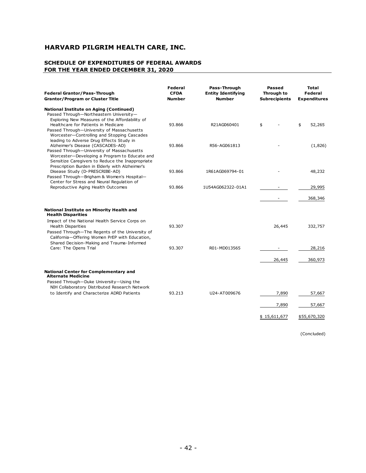#### **SCHEDULE OF EXPENDITURES OF FEDERAL AWARDS FOR THE YEAR ENDED DECEMBER 31, 2020**

| <b>Federal Grantor/Pass-Through</b><br><b>Grantor/Program or Cluster Title</b>                                                                                                                                                          | Federal<br><b>CFDA</b><br>Number | Pass-Through<br><b>Entity Identifying</b><br>Number | Passed<br>Through to<br><b>Subrecipients</b> | Total<br>Federal<br><b>Expenditures</b> |
|-----------------------------------------------------------------------------------------------------------------------------------------------------------------------------------------------------------------------------------------|----------------------------------|-----------------------------------------------------|----------------------------------------------|-----------------------------------------|
| <b>National Institute on Aging (Continued)</b><br>Passed Through-Northeastern University-<br>Exploring New Measures of the Affordability of                                                                                             |                                  |                                                     |                                              |                                         |
| Healthcare for Patients in Medicare<br>Passed Through-University of Massachusetts<br>Worcester-Controlling and Stopping Cascades<br>leading to Adverse Drug Effects Study in                                                            | 93.866                           | R21AG060401                                         | \$                                           | \$<br>52,265                            |
| Alzheimer's Disease (CASCADES-AD)<br>Passed Through-University of Massachusetts<br>Worcester-Developing a Program to Educate and<br>Sensitize Caregivers to Reduce the Inappropriate<br>Prescription Burden in Elderly with Alzheimer's | 93.866                           | R56-AG061813                                        |                                              | (1,826)                                 |
| Disease Study (D-PRESCRIBE-AD)<br>Passed Through-Brigham & Women's Hospital-<br>Center for Stress and Neural Regulation of                                                                                                              | 93.866                           | 1R61AG069794-01                                     |                                              | 48,232                                  |
| Reproductive Aging Health Outcomes                                                                                                                                                                                                      | 93.866                           | 1U54AG062322-01A1                                   |                                              | 29,995                                  |
|                                                                                                                                                                                                                                         |                                  |                                                     |                                              | 368,346                                 |
| National Institute on Minority Health and<br><b>Health Disparities</b>                                                                                                                                                                  |                                  |                                                     |                                              |                                         |
| Impact of the National Health Service Corps on<br><b>Health Disparities</b><br>Passed Through-The Regents of the University of<br>California-Offering Women PrEP with Education,<br>Shared Decision-Making and Trauma-Informed          | 93.307                           |                                                     | 26,445                                       | 332,757                                 |
| Care: The Opens Trial                                                                                                                                                                                                                   | 93.307                           | R01-MD013565                                        |                                              | 28,216                                  |
|                                                                                                                                                                                                                                         |                                  |                                                     | 26,445                                       | 360,973                                 |
| <b>National Center for Complementary and</b><br><b>Alternate Medicine</b><br>Passed Through-Duke University-Using the                                                                                                                   |                                  |                                                     |                                              |                                         |
| NIH Collaboratory Distributed Research Network<br>to Identify and Characterize ADRD Patients                                                                                                                                            | 93.213                           | U24-AT009676                                        | 7,890                                        | 57,667                                  |
|                                                                                                                                                                                                                                         |                                  |                                                     |                                              |                                         |
|                                                                                                                                                                                                                                         |                                  |                                                     | 7,890                                        | 57,667                                  |
|                                                                                                                                                                                                                                         |                                  |                                                     | \$15,611,677                                 | \$55,670,320                            |

(Concluded)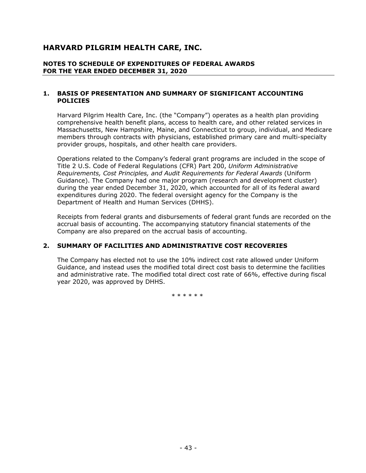#### **NOTES TO SCHEDULE OF EXPENDITURES OF FEDERAL AWARDS FOR THE YEAR ENDED DECEMBER 31, 2020**

#### **1. BASIS OF PRESENTATION AND SUMMARY OF SIGNIFICANT ACCOUNTING POLICIES**

Harvard Pilgrim Health Care, Inc. (the "Company") operates as a health plan providing comprehensive health benefit plans, access to health care, and other related services in Massachusetts, New Hampshire, Maine, and Connecticut to group, individual, and Medicare members through contracts with physicians, established primary care and multi-specialty provider groups, hospitals, and other health care providers.

Operations related to the Company's federal grant programs are included in the scope of Title 2 U.S. Code of Federal Regulations (CFR) Part 200, *Uniform Administrative Requirements, Cost Principles, and Audit Requirements for Federal Awards* (Uniform Guidance). The Company had one major program (research and development cluster) during the year ended December 31, 2020, which accounted for all of its federal award expenditures during 2020. The federal oversight agency for the Company is the Department of Health and Human Services (DHHS).

Receipts from federal grants and disbursements of federal grant funds are recorded on the accrual basis of accounting. The accompanying statutory financial statements of the Company are also prepared on the accrual basis of accounting.

### **2. SUMMARY OF FACILITIES AND ADMINISTRATIVE COST RECOVERIES**

The Company has elected not to use the 10% indirect cost rate allowed under Uniform Guidance, and instead uses the modified total direct cost basis to determine the facilities and administrative rate. The modified total direct cost rate of 66%, effective during fiscal year 2020, was approved by DHHS.

\*\*\*\*\*\*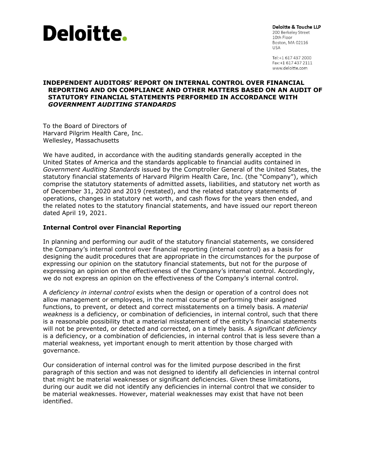

Deloitte & Touche LLP 200 Berkeley Street 10th Floor Boston, MA 02116 **USA** 

Tel:+1 617 437 2000 Fax: +1 617 437 2111 www.deloitte.com

### **INDEPENDENT AUDITORS' REPORT ON INTERNAL CONTROL OVER FINANCIAL REPORTING AND ON COMPLIANCE AND OTHER MATTERS BASED ON AN AUDIT OF STATUTORY FINANCIAL STATEMENTS PERFORMED IN ACCORDANCE WITH**  *GOVERNMENT AUDITING STANDARDS*

To the Board of Directors of Harvard Pilgrim Health Care, Inc. Wellesley, Massachusetts

We have audited, in accordance with the auditing standards generally accepted in the United States of America and the standards applicable to financial audits contained in *Government Auditing Standards* issued by the Comptroller General of the United States, the statutory financial statements of Harvard Pilgrim Health Care, Inc. (the "Company"), which comprise the statutory statements of admitted assets, liabilities, and statutory net worth as of December 31, 2020 and 2019 (restated), and the related statutory statements of operations, changes in statutory net worth, and cash flows for the years then ended, and the related notes to the statutory financial statements, and have issued our report thereon dated April 19, 2021.

#### **Internal Control over Financial Reporting**

In planning and performing our audit of the statutory financial statements, we considered the Company's internal control over financial reporting (internal control) as a basis for designing the audit procedures that are appropriate in the circumstances for the purpose of expressing our opinion on the statutory financial statements, but not for the purpose of expressing an opinion on the effectiveness of the Company's internal control. Accordingly, we do not express an opinion on the effectiveness of the Company's internal control.

A *deficiency in internal control* exists when the design or operation of a control does not allow management or employees, in the normal course of performing their assigned functions, to prevent, or detect and correct misstatements on a timely basis. A *material weakness* is a deficiency, or combination of deficiencies, in internal control, such that there is a reasonable possibility that a material misstatement of the entity's financial statements will not be prevented, or detected and corrected, on a timely basis. A *significant deficiency* is a deficiency, or a combination of deficiencies, in internal control that is less severe than a material weakness, yet important enough to merit attention by those charged with governance.

Our consideration of internal control was for the limited purpose described in the first paragraph of this section and was not designed to identify all deficiencies in internal control that might be material weaknesses or significant deficiencies. Given these limitations, during our audit we did not identify any deficiencies in internal control that we consider to be material weaknesses. However, material weaknesses may exist that have not been identified.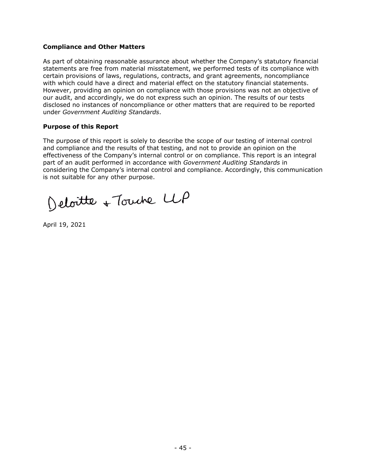### **Compliance and Other Matters**

As part of obtaining reasonable assurance about whether the Company's statutory financial statements are free from material misstatement, we performed tests of its compliance with certain provisions of laws, regulations, contracts, and grant agreements, noncompliance with which could have a direct and material effect on the statutory financial statements. However, providing an opinion on compliance with those provisions was not an objective of our audit, and accordingly, we do not express such an opinion. The results of our tests disclosed no instances of noncompliance or other matters that are required to be reported under *Government Auditing Standards*.

### **Purpose of this Report**

The purpose of this report is solely to describe the scope of our testing of internal control and compliance and the results of that testing, and not to provide an opinion on the effectiveness of the Company's internal control or on compliance. This report is an integral part of an audit performed in accordance with *Government Auditing Standards* in considering the Company's internal control and compliance. Accordingly, this communication is not suitable for any other purpose.

Deloitte + Touche LLP

April 19, 2021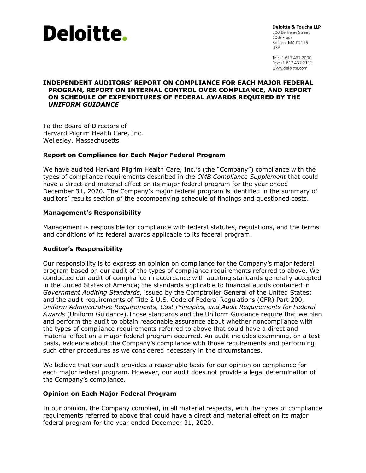

Deloitte & Touche LLP 200 Berkeley Street 10th Floor Boston, MA 02116 **USA** 

Tel:+1 617 437 2000 Fax: +1 617 437 2111 www.deloitte.com

### **INDEPENDENT AUDITORS' REPORT ON COMPLIANCE FOR EACH MAJOR FEDERAL PROGRAM, REPORT ON INTERNAL CONTROL OVER COMPLIANCE, AND REPORT ON SCHEDULE OF EXPENDITURES OF FEDERAL AWARDS REQUIRED BY THE**  *UNIFORM GUIDANCE*

To the Board of Directors of Harvard Pilgrim Health Care, Inc. Wellesley, Massachusetts

#### **Report on Compliance for Each Major Federal Program**

We have audited Harvard Pilgrim Health Care, Inc.'s (the "Company") compliance with the types of compliance requirements described in the *OMB Compliance Supplement* that could have a direct and material effect on its major federal program for the year ended December 31, 2020. The Company's major federal program is identified in the summary of auditors' results section of the accompanying schedule of findings and questioned costs.

#### **Management's Responsibility**

Management is responsible for compliance with federal statutes, regulations, and the terms and conditions of its federal awards applicable to its federal program.

#### **Auditor's Responsibility**

Our responsibility is to express an opinion on compliance for the Company's major federal program based on our audit of the types of compliance requirements referred to above. We conducted our audit of compliance in accordance with auditing standards generally accepted in the United States of America; the standards applicable to financial audits contained in *Government Auditing Standards*, issued by the Comptroller General of the United States; and the audit requirements of Title 2 U.S. Code of Federal Regulations (CFR) Part 200, *Uniform Administrative Requirements, Cost Principles, and Audit Requirements for Federal Awards* (Uniform Guidance).Those standards and the Uniform Guidance require that we plan and perform the audit to obtain reasonable assurance about whether noncompliance with the types of compliance requirements referred to above that could have a direct and material effect on a major federal program occurred. An audit includes examining, on a test basis, evidence about the Company's compliance with those requirements and performing such other procedures as we considered necessary in the circumstances.

We believe that our audit provides a reasonable basis for our opinion on compliance for each major federal program. However, our audit does not provide a legal determination of the Company's compliance.

#### **Opinion on Each Major Federal Program**

In our opinion, the Company complied, in all material respects, with the types of compliance requirements referred to above that could have a direct and material effect on its major federal program for the year ended December 31, 2020.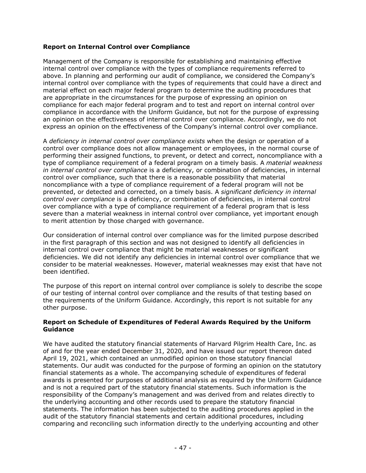### **Report on Internal Control over Compliance**

Management of the Company is responsible for establishing and maintaining effective internal control over compliance with the types of compliance requirements referred to above. In planning and performing our audit of compliance, we considered the Company's internal control over compliance with the types of requirements that could have a direct and material effect on each major federal program to determine the auditing procedures that are appropriate in the circumstances for the purpose of expressing an opinion on compliance for each major federal program and to test and report on internal control over compliance in accordance with the Uniform Guidance, but not for the purpose of expressing an opinion on the effectiveness of internal control over compliance. Accordingly, we do not express an opinion on the effectiveness of the Company's internal control over compliance.

A *deficiency in internal control over compliance exists* when the design or operation of a control over compliance does not allow management or employees, in the normal course of performing their assigned functions, to prevent, or detect and correct, noncompliance with a type of compliance requirement of a federal program on a timely basis. A *material weakness in internal control over compliance* is a deficiency, or combination of deficiencies, in internal control over compliance, such that there is a reasonable possibility that material noncompliance with a type of compliance requirement of a federal program will not be prevented, or detected and corrected, on a timely basis. A *significant deficiency in internal control over compliance* is a deficiency, or combination of deficiencies, in internal control over compliance with a type of compliance requirement of a federal program that is less severe than a material weakness in internal control over compliance, yet important enough to merit attention by those charged with governance.

Our consideration of internal control over compliance was for the limited purpose described in the first paragraph of this section and was not designed to identify all deficiencies in internal control over compliance that might be material weaknesses or significant deficiencies. We did not identify any deficiencies in internal control over compliance that we consider to be material weaknesses. However, material weaknesses may exist that have not been identified.

The purpose of this report on internal control over compliance is solely to describe the scope of our testing of internal control over compliance and the results of that testing based on the requirements of the Uniform Guidance. Accordingly, this report is not suitable for any other purpose.

#### **Report on Schedule of Expenditures of Federal Awards Required by the Uniform Guidance**

We have audited the statutory financial statements of Harvard Pilgrim Health Care, Inc. as of and for the year ended December 31, 2020, and have issued our report thereon dated April 19, 2021, which contained an unmodified opinion on those statutory financial statements. Our audit was conducted for the purpose of forming an opinion on the statutory financial statements as a whole. The accompanying schedule of expenditures of federal awards is presented for purposes of additional analysis as required by the Uniform Guidance and is not a required part of the statutory financial statements. Such information is the responsibility of the Company's management and was derived from and relates directly to the underlying accounting and other records used to prepare the statutory financial statements. The information has been subjected to the auditing procedures applied in the audit of the statutory financial statements and certain additional procedures, including comparing and reconciling such information directly to the underlying accounting and other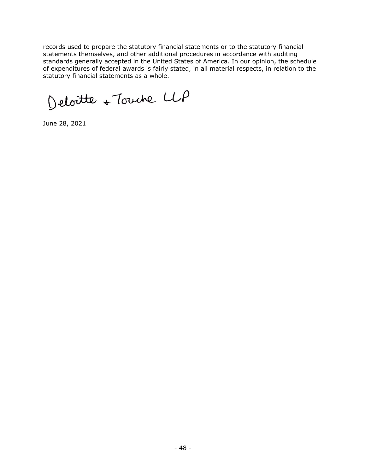records used to prepare the statutory financial statements or to the statutory financial statements themselves, and other additional procedures in accordance with auditing standards generally accepted in the United States of America. In our opinion, the schedule of expenditures of federal awards is fairly stated, in all material respects, in relation to the statutory financial statements as a whole.

Deloitte + Touche LLP

June 28, 2021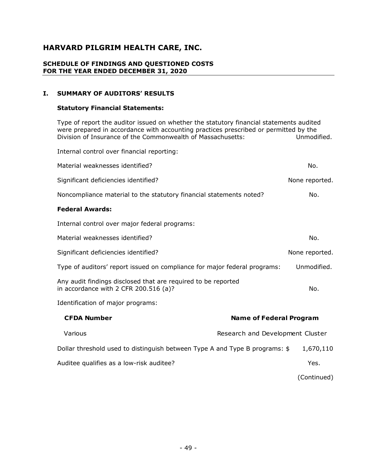### **SCHEDULE OF FINDINGS AND QUESTIONED COSTS FOR THE YEAR ENDED DECEMBER 31, 2020**

### **I. SUMMARY OF AUDITORS' RESULTS**

#### **Statutory Financial Statements:**

Type of report the auditor issued on whether the statutory financial statements audited were prepared in accordance with accounting practices prescribed or permitted by the Division of Insurance of the Commonwealth of Massachusetts: Unmodified.

Internal control over financial reporting:

| Material weaknesses identified?                                                                        |                                  | No.            |
|--------------------------------------------------------------------------------------------------------|----------------------------------|----------------|
| Significant deficiencies identified?                                                                   |                                  | None reported. |
| Noncompliance material to the statutory financial statements noted?                                    |                                  | No.            |
| <b>Federal Awards:</b>                                                                                 |                                  |                |
| Internal control over major federal programs:                                                          |                                  |                |
| Material weaknesses identified?                                                                        |                                  | No.            |
| Significant deficiencies identified?                                                                   |                                  | None reported. |
| Type of auditors' report issued on compliance for major federal programs:                              |                                  | Unmodified.    |
| Any audit findings disclosed that are required to be reported<br>in accordance with 2 CFR 200.516 (a)? |                                  | No.            |
| Identification of major programs:                                                                      |                                  |                |
| <b>CFDA Number</b>                                                                                     | <b>Name of Federal Program</b>   |                |
| Various                                                                                                | Research and Development Cluster |                |
| Dollar threshold used to distinguish between Type A and Type B programs: \$                            |                                  | 1,670,110      |
| Auditee qualifies as a low-risk auditee?                                                               |                                  | Yes.           |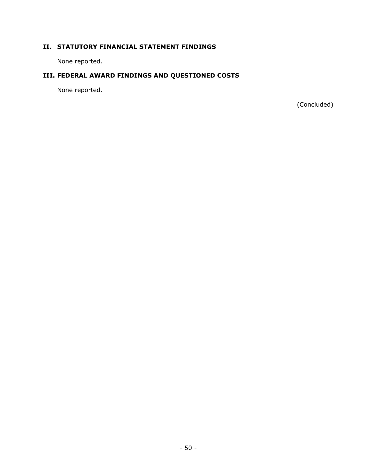### **II. STATUTORY FINANCIAL STATEMENT FINDINGS**

None reported.

### **III. FEDERAL AWARD FINDINGS AND QUESTIONED COSTS**

None reported.

(Concluded)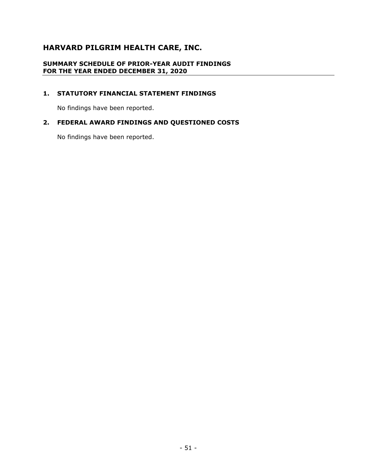### **SUMMARY SCHEDULE OF PRIOR-YEAR AUDIT FINDINGS FOR THE YEAR ENDED DECEMBER 31, 2020**

### **1. STATUTORY FINANCIAL STATEMENT FINDINGS**

No findings have been reported.

### **2. FEDERAL AWARD FINDINGS AND QUESTIONED COSTS**

No findings have been reported.